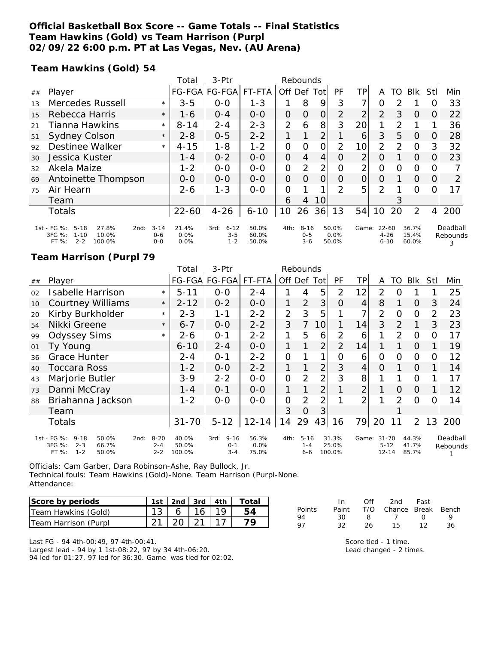### **Official Basketball Box Score -- Game Totals -- Final Statistics Team Hawkins (Gold) vs Team Harrison (Purpl 02/09/22 6:00 p.m. PT at Las Vegas, Nev. (AU Arena)**

**Team Hawkins (Gold) 54**

|    |                                                                                                       |                                | Total                    | $3-Ptr$                                | Rebounds                |                |                                |                |                        |                 |                                   |               |                         |                |                           |
|----|-------------------------------------------------------------------------------------------------------|--------------------------------|--------------------------|----------------------------------------|-------------------------|----------------|--------------------------------|----------------|------------------------|-----------------|-----------------------------------|---------------|-------------------------|----------------|---------------------------|
| ## | Player                                                                                                |                                |                          | FG-FGA FG-FGA                          | FT-FTA                  | Off            | Def                            | Tot            | PF                     | TP              | A                                 | TO            | <b>BIK</b>              | <b>Stll</b>    | Min                       |
| 13 | Mercedes Russell                                                                                      | $\star$                        | $3 - 5$                  | $0 - 0$                                | $1 - 3$                 |                | 8                              | 9              | 3                      | 7               | O                                 | 2             |                         |                | 33                        |
| 15 | Rebecca Harris                                                                                        | $\star$                        | 1-6                      | $0 - 4$                                | $0 - 0$                 | 0              | 0                              | $\overline{O}$ | $\overline{2}$         | 2               | 2                                 | 3             | $\Omega$                | $\Omega$       | 22                        |
| 21 | Tianna Hawkins                                                                                        | $\star$                        | $8 - 14$                 | $2 - 4$                                | $2 - 3$                 | $\overline{2}$ | 6                              | 8              | 3                      | 20              |                                   | $\mathcal{P}$ |                         |                | 36                        |
| 51 | Sydney Colson                                                                                         | $\star$                        | $2 - 8$                  | $0 - 5$                                | $2 - 2$                 |                |                                | 2              |                        | 6               | 3                                 | 5             | $\Omega$                | 0              | 28                        |
| 92 | Destinee Walker                                                                                       | $\star$                        | $4 - 15$                 | $1 - 8$                                | $1 - 2$                 | $\overline{O}$ | $\Omega$                       | $\Omega$       | 2                      | 10 <sup>1</sup> | 2                                 | $\mathcal{P}$ | $\circ$                 | 3              | 32                        |
| 30 | Jessica Kuster                                                                                        |                                | 1 - 4                    | $0 - 2$                                | $0 - 0$                 | 0              | $\overline{4}$                 | 4              | O                      | 2               | O                                 |               | 0                       | O              | 23                        |
| 32 | Akela Maize                                                                                           |                                | $1 - 2$                  | $0 - 0$                                | $0 - 0$                 | $\overline{O}$ | $\mathcal{P}$                  | 2              | 0                      | $\overline{2}$  | 0                                 | O             | $\circ$                 | $\Omega$       |                           |
| 69 | Antoinette Thompson                                                                                   |                                | $O-O$                    | $0 - 0$                                | $0 - 0$                 | 0              | $\Omega$                       | $\Omega$       | $\Omega$               | $\overline{O}$  | $\Omega$                          |               | $\Omega$                | 0              | 2                         |
| 75 | Air Hearn                                                                                             |                                | $2 - 6$                  | $1 - 3$                                | $0 - 0$                 | O              |                                |                | 2                      | 5               | $\mathcal{P}$                     |               | $\Omega$                | O              | 17                        |
|    | Team                                                                                                  |                                |                          |                                        |                         | 6              | 4                              | 10             |                        |                 |                                   | 3             |                         |                |                           |
|    | <b>Totals</b>                                                                                         |                                | $22 - 60$                | $4 - 26$                               | $6 - 10$                | 10             | 26                             | 36             | 13                     | 54              | 10                                | 20            | 2                       | $\overline{4}$ | 200                       |
|    | 1st - FG %:<br>$5 - 18$<br>27.8%<br>2nd:<br>3FG %:<br>10.0%<br>$1 - 10$<br>$2 - 2$<br>100.0%<br>FT %: | $3 - 14$<br>$0 - 6$<br>$0 - 0$ | 21.4%<br>$0.0\%$<br>0.0% | $6 - 12$<br>3rd:<br>$3 - 5$<br>$1 - 2$ | 50.0%<br>60.0%<br>50.0% | 4th:           | $8 - 16$<br>$0 - 5$<br>$3 - 6$ |                | 50.0%<br>0.0%<br>50.0% | Game:           | $22 - 60$<br>$4 - 26$<br>$6 - 10$ |               | 36.7%<br>15.4%<br>60.0% |                | Deadball<br>Rebounds<br>3 |

### **Team Harrison (Purpl 79**

|    |                                                                                                       |                                | Total                    | 3-Ptr                                  | Rebounds               |                |                                |                |                          |                |                                    |                |                         |                |                      |
|----|-------------------------------------------------------------------------------------------------------|--------------------------------|--------------------------|----------------------------------------|------------------------|----------------|--------------------------------|----------------|--------------------------|----------------|------------------------------------|----------------|-------------------------|----------------|----------------------|
| ## | Player                                                                                                |                                |                          | FG-FGA FG-FGA                          | FT-FTA                 |                |                                | Off Def Tot    | PF                       | TP             | A                                  | TO             | Blk                     | Stll           | Min                  |
| 02 | <b>Isabelle Harrison</b>                                                                              | $\star$                        | $5 - 11$                 | $0-0$                                  | $2 - 4$                |                | 4                              | 5              | 2                        | 12             | 2                                  | O              |                         |                | 25                   |
| 10 | <b>Courtney Williams</b>                                                                              | $\star$                        | $2 - 12$                 | $0 - 2$                                | $0 - 0$                | 1              | $\overline{2}$                 | 3              | $\Omega$                 | 4              | 8                                  |                | 0                       | 3              | 24                   |
| 20 | Kirby Burkholder                                                                                      | $\star$                        | $2 - 3$                  | 1-1                                    | $2 - 2$                | $\overline{2}$ | 3                              | 5              |                          | 7              | $\overline{2}$                     | O              | $\Omega$                | $\overline{2}$ | 23                   |
| 54 | Nikki Greene                                                                                          | $\star$                        | $6 - 7$                  | $0 - 0$                                | $2 - 2$                | 3              | $\overline{7}$                 | 10             |                          | 14             | 3                                  | $\overline{2}$ | 1                       | $\overline{3}$ | 23                   |
| 99 | <b>Odyssey Sims</b>                                                                                   | $\star$                        | 2-6                      | $0 - 1$                                | $2 - 2$                | 1              | 5                              | 6              | $\overline{2}$           | 6              |                                    | 2              | $\Omega$                | 0              | 17                   |
| 01 | Ty Young                                                                                              |                                | 6-10                     | $2 - 4$                                | $0-0$                  | 1              |                                | 2              | 2                        | 14             |                                    |                | 0                       |                | 19                   |
| 36 | <b>Grace Hunter</b>                                                                                   |                                | $2 - 4$                  | $0 - 1$                                | $2 - 2$                | $\overline{O}$ |                                |                | Ο                        | 6              | 0                                  | O              | $\Omega$                | 0              | 12                   |
| 40 | Toccara Ross                                                                                          |                                | $1 - 2$                  | $O-O$                                  | $2 - 2$                | 1              |                                | 2              | 3                        | $\overline{4}$ | $\Omega$                           |                | $\Omega$                |                | 14                   |
| 43 | Marjorie Butler                                                                                       |                                | $3 - 9$                  | $2 - 2$                                | $0 - 0$                | $\overline{O}$ | 2                              | $\overline{2}$ | 3                        | 8              |                                    |                | $\Omega$                |                | 17                   |
| 73 | Danni McCray                                                                                          |                                | $1 - 4$                  | $O - 1$                                | $0 - 0$                | 1              |                                | 2              |                          | $\overline{2}$ |                                    | $\Omega$       | $\Omega$                |                | 12                   |
| 88 | Briahanna Jackson                                                                                     |                                | $1 - 2$                  | $0 - 0$                                | $O-O$                  | $\overline{O}$ | $\overline{2}$                 | $\overline{2}$ |                          | $\overline{2}$ |                                    | $\mathcal{P}$  | $\Omega$                | 0              | 14                   |
|    | Team                                                                                                  |                                |                          |                                        |                        | 3              | O                              | 3              |                          |                |                                    |                |                         |                |                      |
|    | Totals                                                                                                |                                | $31 - 70$                | $5 - 12$                               | $12 - 14$              | 14             | 29                             | 43             | 16                       | 79             | 20                                 |                | $\overline{2}$          | 13             | 200                  |
|    | 1st - FG %:<br>$9 - 18$<br>50.0%<br>2nd:<br>3FG %:<br>$2 - 3$<br>66.7%<br>$FT$ %:<br>$1 - 2$<br>50.0% | $8 - 20$<br>$2 - 4$<br>$2 - 2$ | 40.0%<br>50.0%<br>100.0% | $9 - 16$<br>3rd:<br>$0 - 1$<br>$3 - 4$ | 56.3%<br>0.0%<br>75.0% | 4th:           | $5 - 16$<br>$1 - 4$<br>$6 - 6$ |                | 31.3%<br>25.0%<br>100.0% | Game:          | $31 - 70$<br>$5 - 12$<br>$12 - 14$ |                | 44.3%<br>41.7%<br>85.7% |                | Deadball<br>Rebounds |

Officials: Cam Garber, Dara Robinson-Ashe, Ray Bullock, Jr. Technical fouls: Team Hawkins (Gold)-None. Team Harrison (Purpl-None. Attendance:

| Score by periods     | $1st$   2nd   3rd   4th |                  |    | Totaı |
|----------------------|-------------------------|------------------|----|-------|
| Team Hawkins (Gold)  |                         | $6 \mid 16 \mid$ | 19 | 54    |
| Team Harrison (Purpl |                         | 20121            |    |       |

Last FG - 94 4th-00:49, 97 4th-00:41. Largest lead - 94 by 1 1st-08:22, 97 by 34 4th-06:20. 94 led for 01:27. 97 led for 36:30. Game was tied for 02:02.

|        | $\ln$ |    | Off 2nd Fast                 |    |    |
|--------|-------|----|------------------------------|----|----|
| Points |       |    | Paint T/O Chance Break Bench |    |    |
| 94     | 30.   |    | 8 7 0                        |    | Q  |
| 97     | 32.   | 26 | 15                           | 12 | 36 |

Score tied - 1 time. Lead changed - 2 times.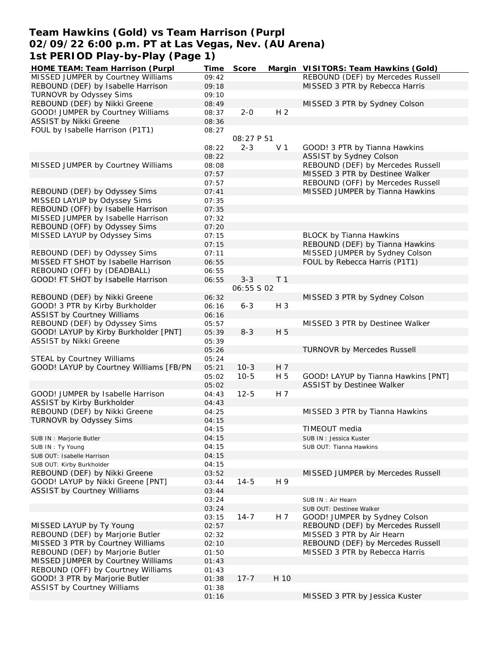## **Team Hawkins (Gold) vs Team Harrison (Purpl 02/09/22 6:00 p.m. PT at Las Vegas, Nev. (AU Arena) 1st PERIOD Play-by-Play (Page 1)**

| HOME TEAM: Team Harrison (Purpl         | Time  | Score      |                | Margin VISITORS: Team Hawkins (Gold) |
|-----------------------------------------|-------|------------|----------------|--------------------------------------|
| MISSED JUMPER by Courtney Williams      | 09:42 |            |                | REBOUND (DEF) by Mercedes Russell    |
| REBOUND (DEF) by Isabelle Harrison      | 09:18 |            |                | MISSED 3 PTR by Rebecca Harris       |
| TURNOVR by Odyssey Sims                 | 09:10 |            |                |                                      |
| REBOUND (DEF) by Nikki Greene           | 08:49 |            |                | MISSED 3 PTR by Sydney Colson        |
| GOOD! JUMPER by Courtney Williams       | 08:37 | $2 - 0$    | H <sub>2</sub> |                                      |
| <b>ASSIST by Nikki Greene</b>           | 08:36 |            |                |                                      |
| FOUL by Isabelle Harrison (P1T1)        | 08:27 |            |                |                                      |
|                                         |       | 08:27 P 51 |                |                                      |
|                                         |       |            |                |                                      |
|                                         | 08:22 | $2 - 3$    | V <sub>1</sub> | GOOD! 3 PTR by Tianna Hawkins        |
|                                         | 08:22 |            |                | ASSIST by Sydney Colson              |
| MISSED JUMPER by Courtney Williams      | 08:08 |            |                | REBOUND (DEF) by Mercedes Russell    |
|                                         | 07:57 |            |                | MISSED 3 PTR by Destinee Walker      |
|                                         | 07:57 |            |                | REBOUND (OFF) by Mercedes Russell    |
| REBOUND (DEF) by Odyssey Sims           | 07:41 |            |                | MISSED JUMPER by Tianna Hawkins      |
| MISSED LAYUP by Odyssey Sims            | 07:35 |            |                |                                      |
| REBOUND (OFF) by Isabelle Harrison      | 07:35 |            |                |                                      |
| MISSED JUMPER by Isabelle Harrison      | 07:32 |            |                |                                      |
| REBOUND (OFF) by Odyssey Sims           | 07:20 |            |                |                                      |
| MISSED LAYUP by Odyssey Sims            | 07:15 |            |                | <b>BLOCK by Tianna Hawkins</b>       |
|                                         |       |            |                |                                      |
|                                         | 07:15 |            |                | REBOUND (DEF) by Tianna Hawkins      |
| REBOUND (DEF) by Odyssey Sims           | 07:11 |            |                | MISSED JUMPER by Sydney Colson       |
| MISSED FT SHOT by Isabelle Harrison     | 06:55 |            |                | FOUL by Rebecca Harris (P1T1)        |
| REBOUND (OFF) by (DEADBALL)             | 06:55 |            |                |                                      |
| GOOD! FT SHOT by Isabelle Harrison      | 06:55 | $3 - 3$    | T <sub>1</sub> |                                      |
|                                         |       | 06:55 S 02 |                |                                      |
| REBOUND (DEF) by Nikki Greene           | 06:32 |            |                | MISSED 3 PTR by Sydney Colson        |
| GOOD! 3 PTR by Kirby Burkholder         | 06:16 | $6 - 3$    | H 3            |                                      |
| <b>ASSIST by Courtney Williams</b>      | 06:16 |            |                |                                      |
| REBOUND (DEF) by Odyssey Sims           | 05:57 |            |                | MISSED 3 PTR by Destinee Walker      |
| GOOD! LAYUP by Kirby Burkholder [PNT]   | 05:39 | $8 - 3$    | H 5            |                                      |
| ASSIST by Nikki Greene                  | 05:39 |            |                |                                      |
|                                         | 05:26 |            |                | <b>TURNOVR by Mercedes Russell</b>   |
|                                         |       |            |                |                                      |
| STEAL by Courtney Williams              | 05:24 |            |                |                                      |
| GOOD! LAYUP by Courtney Williams [FB/PN | 05:21 | $10-3$     | H 7            |                                      |
|                                         | 05:02 | $10 - 5$   | H 5            | GOOD! LAYUP by Tianna Hawkins [PNT]  |
|                                         | 05:02 |            |                | ASSIST by Destinee Walker            |
| GOOD! JUMPER by Isabelle Harrison       | 04:43 | $12 - 5$   | H 7            |                                      |
| ASSIST by Kirby Burkholder              | 04:43 |            |                |                                      |
| REBOUND (DEF) by Nikki Greene           | 04:25 |            |                | MISSED 3 PTR by Tianna Hawkins       |
| TURNOVR by Odyssey Sims                 | 04:15 |            |                |                                      |
|                                         | 04:15 |            |                | TIMEOUT media                        |
| SUB IN : Marjorie Butler                | 04:15 |            |                | SUB IN: Jessica Kuster               |
| SUB IN: Ty Young                        | 04:15 |            |                | SUB OUT: Tianna Hawkins              |
| SUB OUT: Isabelle Harrison              | 04:15 |            |                |                                      |
| SUB OUT: Kirby Burkholder               | 04:15 |            |                |                                      |
|                                         |       |            |                |                                      |
| REBOUND (DEF) by Nikki Greene           | 03:52 |            |                | MISSED JUMPER by Mercedes Russell    |
| GOOD! LAYUP by Nikki Greene [PNT]       | 03:44 | $14 - 5$   | H 9            |                                      |
| <b>ASSIST by Courtney Williams</b>      | 03:44 |            |                |                                      |
|                                         | 03:24 |            |                | SUB IN : Air Hearn                   |
|                                         | 03:24 |            |                | SUB OUT: Destinee Walker             |
|                                         | 03:15 | $14 - 7$   | H 7            | GOOD! JUMPER by Sydney Colson        |
| MISSED LAYUP by Ty Young                | 02:57 |            |                | REBOUND (DEF) by Mercedes Russell    |
| REBOUND (DEF) by Marjorie Butler        | 02:32 |            |                | MISSED 3 PTR by Air Hearn            |
| MISSED 3 PTR by Courtney Williams       | 02:10 |            |                | REBOUND (DEF) by Mercedes Russell    |
| REBOUND (DEF) by Marjorie Butler        | 01:50 |            |                | MISSED 3 PTR by Rebecca Harris       |
| MISSED JUMPER by Courtney Williams      | 01:43 |            |                |                                      |
| REBOUND (OFF) by Courtney Williams      | 01:43 |            |                |                                      |
| GOOD! 3 PTR by Marjorie Butler          | 01:38 | $17 - 7$   | H 10           |                                      |
| <b>ASSIST by Courtney Williams</b>      |       |            |                |                                      |
|                                         | 01:38 |            |                |                                      |
|                                         | 01:16 |            |                | MISSED 3 PTR by Jessica Kuster       |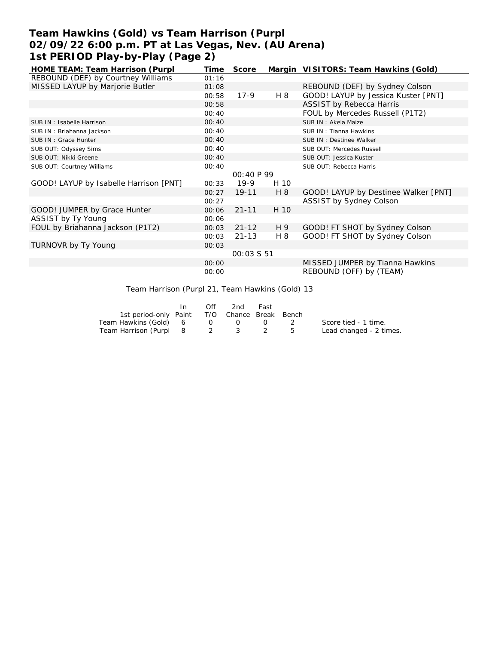## **Team Hawkins (Gold) vs Team Harrison (Purpl 02/09/22 6:00 p.m. PT at Las Vegas, Nev. (AU Arena) 1st PERIOD Play-by-Play (Page 2)**

| HOME TEAM: Team Harrison (Purpl        | Time  | Score             |      | Margin VISITORS: Team Hawkins (Gold) |
|----------------------------------------|-------|-------------------|------|--------------------------------------|
| REBOUND (DEF) by Courtney Williams     | 01:16 |                   |      |                                      |
| MISSED LAYUP by Marjorie Butler        | 01:08 |                   |      | REBOUND (DEF) by Sydney Colson       |
|                                        | 00:58 | $17-9$            | H 8  | GOOD! LAYUP by Jessica Kuster [PNT]  |
|                                        | 00:58 |                   |      | <b>ASSIST by Rebecca Harris</b>      |
|                                        | 00:40 |                   |      | FOUL by Mercedes Russell (P1T2)      |
| SUB IN: Isabelle Harrison              | 00:40 |                   |      | SUB IN: Akela Maize                  |
| SUB IN: Briahanna Jackson              | 00:40 |                   |      | SUB IN: Tianna Hawkins               |
| SUB IN: Grace Hunter                   | 00:40 |                   |      | SUB IN: Destinee Walker              |
| SUB OUT: Odyssey Sims                  | 00:40 |                   |      | SUB OUT: Mercedes Russell            |
| SUB OUT: Nikki Greene                  | 00:40 |                   |      | SUB OUT: Jessica Kuster              |
| SUB OUT: Courtney Williams             | 00:40 |                   |      | SUB OUT: Rebecca Harris              |
|                                        |       | 00:40 P 99        |      |                                      |
| GOOD! LAYUP by Isabelle Harrison [PNT] | 00:33 | $19-9$            | H 10 |                                      |
|                                        | 00:27 | $19 - 11$         | H 8  | GOOD! LAYUP by Destinee Walker [PNT] |
|                                        | 00:27 |                   |      | ASSIST by Sydney Colson              |
| GOOD! JUMPER by Grace Hunter           | 00:06 | $21 - 11$         | H 10 |                                      |
| ASSIST by Ty Young                     | 00:06 |                   |      |                                      |
| FOUL by Briahanna Jackson (P1T2)       | 00:03 | $21 - 12$         | H 9  | GOOD! FT SHOT by Sydney Colson       |
|                                        | 00:03 | $21 - 13$         | H 8  | GOOD! FT SHOT by Sydney Colson       |
| TURNOVR by Ty Young                    | 00:03 |                   |      |                                      |
|                                        |       | <i>00:03 S 51</i> |      |                                      |
|                                        | 00:00 |                   |      | MISSED JUMPER by Tianna Hawkins      |
|                                        | 00:00 |                   |      | REBOUND (OFF) by (TEAM)              |
|                                        |       |                   |      |                                      |

Team Harrison (Purpl 21, Team Hawkins (Gold) 13

|                                              | In. | Off              | 2nd | Fast          |                         |
|----------------------------------------------|-----|------------------|-----|---------------|-------------------------|
| 1st period-only Paint T/O Chance Break Bench |     |                  |     |               |                         |
| Team Hawkins (Gold) 6                        |     | $\overline{0}$ 0 |     |               | Score tied - 1 time.    |
| Team Harrison (Purpl 8 2 3                   |     |                  |     | $\frac{2}{5}$ | Lead changed - 2 times. |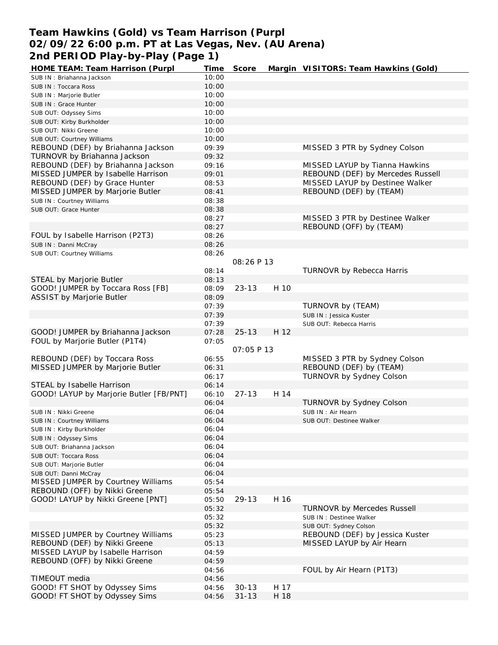## **Team Hawkins (Gold) vs Team Harrison (Purpl 02/09/22 6:00 p.m. PT at Las Vegas, Nev. (AU Arena) 2nd PERIOD Play-by-Play (Page 1)**

| HOME TEAM: Team Harrison (Purpl         | Time  | Score              |      | Margin VISITORS: Team Hawkins (Gold) |
|-----------------------------------------|-------|--------------------|------|--------------------------------------|
| SUB IN: Briahanna Jackson               | 10:00 |                    |      |                                      |
| SUB IN: Toccara Ross                    | 10:00 |                    |      |                                      |
| SUB IN : Marjorie Butler                | 10:00 |                    |      |                                      |
| SUB IN: Grace Hunter                    | 10:00 |                    |      |                                      |
| SUB OUT: Odyssey Sims                   | 10:00 |                    |      |                                      |
| SUB OUT: Kirby Burkholder               | 10:00 |                    |      |                                      |
| SUB OUT: Nikki Greene                   | 10:00 |                    |      |                                      |
| SUB OUT: Courtney Williams              | 10:00 |                    |      |                                      |
| REBOUND (DEF) by Briahanna Jackson      | 09:39 |                    |      | MISSED 3 PTR by Sydney Colson        |
| TURNOVR by Briahanna Jackson            | 09:32 |                    |      |                                      |
| REBOUND (DEF) by Briahanna Jackson      | 09:16 |                    |      | MISSED LAYUP by Tianna Hawkins       |
| MISSED JUMPER by Isabelle Harrison      | 09:01 |                    |      | REBOUND (DEF) by Mercedes Russell    |
| REBOUND (DEF) by Grace Hunter           | 08:53 |                    |      | MISSED LAYUP by Destinee Walker      |
| MISSED JUMPER by Marjorie Butler        | 08:41 |                    |      | REBOUND (DEF) by (TEAM)              |
| SUB IN: Courtney Williams               | 08:38 |                    |      |                                      |
| SUB OUT: Grace Hunter                   | 08:38 |                    |      |                                      |
|                                         | 08:27 |                    |      | MISSED 3 PTR by Destinee Walker      |
|                                         | 08:27 |                    |      | REBOUND (OFF) by (TEAM)              |
| FOUL by Isabelle Harrison (P2T3)        | 08:26 |                    |      |                                      |
| SUB IN: Danni McCray                    | 08:26 |                    |      |                                      |
| SUB OUT: Courtney Williams              | 08:26 |                    |      |                                      |
|                                         |       | 08:26 P 13         |      |                                      |
|                                         | 08:14 |                    |      | TURNOVR by Rebecca Harris            |
| STEAL by Marjorie Butler                | 08:13 |                    |      |                                      |
| GOOD! JUMPER by Toccara Ross [FB]       | 08:09 | $23 - 13$          | H 10 |                                      |
| ASSIST by Marjorie Butler               | 08:09 |                    |      |                                      |
|                                         | 07:39 |                    |      | TURNOVR by (TEAM)                    |
|                                         | 07:39 |                    |      | SUB IN: Jessica Kuster               |
|                                         | 07:39 |                    |      | SUB OUT: Rebecca Harris              |
| GOOD! JUMPER by Briahanna Jackson       | 07:28 | $25 - 13$          | H 12 |                                      |
| FOUL by Marjorie Butler (P1T4)          | 07:05 |                    |      |                                      |
|                                         |       | <i>OT: 05 P 13</i> |      |                                      |
| REBOUND (DEF) by Toccara Ross           | 06:55 |                    |      | MISSED 3 PTR by Sydney Colson        |
| MISSED JUMPER by Marjorie Butler        | 06:31 |                    |      | REBOUND (DEF) by (TEAM)              |
|                                         | 06:17 |                    |      | <b>TURNOVR by Sydney Colson</b>      |
| STEAL by Isabelle Harrison              | 06:14 |                    |      |                                      |
| GOOD! LAYUP by Marjorie Butler [FB/PNT] | 06:10 | $27 - 13$          | H 14 |                                      |
|                                         | 06:04 |                    |      | TURNOVR by Sydney Colson             |
| SUB IN: Nikki Greene                    | 06:04 |                    |      | SUB IN: Air Hearn                    |
| SUB IN: Courtney Williams               | 06:04 |                    |      | SUB OUT: Destinee Walker             |
| SUB IN: Kirby Burkholder                | 06:04 |                    |      |                                      |
| SUB IN: Odyssey Sims                    | 06:04 |                    |      |                                      |
| SUB OUT: Briahanna Jackson              | 06:04 |                    |      |                                      |
| SUB OUT: Toccara Ross                   | 06:04 |                    |      |                                      |
| SUB OUT: Marjorie Butler                | 06:04 |                    |      |                                      |
| SUB OUT: Danni McCray                   | 06:04 |                    |      |                                      |
| MISSED JUMPER by Courtney Williams      | 05:54 |                    |      |                                      |
| REBOUND (OFF) by Nikki Greene           | 05:54 |                    |      |                                      |
| GOOD! LAYUP by Nikki Greene [PNT]       | 05:50 | $29 - 13$          | H 16 |                                      |
|                                         | 05:32 |                    |      | <b>TURNOVR by Mercedes Russell</b>   |
|                                         | 05:32 |                    |      | SUB IN : Destinee Walker             |
|                                         | 05:32 |                    |      | SUB OUT: Sydney Colson               |
| MISSED JUMPER by Courtney Williams      | 05:23 |                    |      | REBOUND (DEF) by Jessica Kuster      |
| REBOUND (DEF) by Nikki Greene           | 05:13 |                    |      | MISSED LAYUP by Air Hearn            |
| MISSED LAYUP by Isabelle Harrison       | 04:59 |                    |      |                                      |
| REBOUND (OFF) by Nikki Greene           | 04:59 |                    |      |                                      |
|                                         | 04:56 |                    |      | FOUL by Air Hearn (P1T3)             |
| TIMEOUT media                           | 04:56 |                    |      |                                      |
| GOOD! FT SHOT by Odyssey Sims           | 04:56 | $30 - 13$          | H 17 |                                      |
| GOOD! FT SHOT by Odyssey Sims           | 04:56 | $31 - 13$          | H 18 |                                      |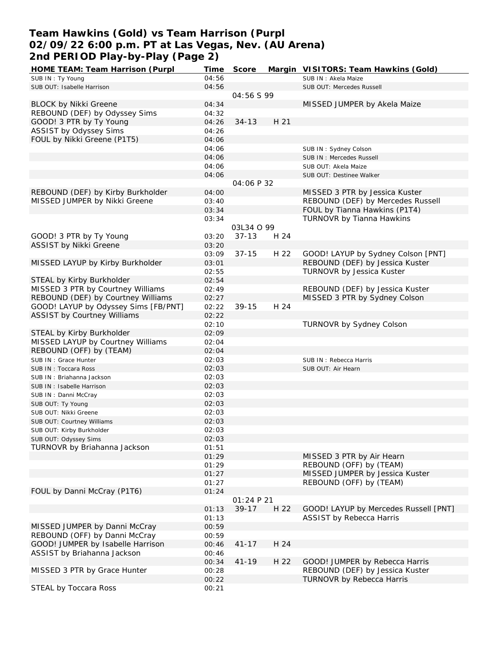## **Team Hawkins (Gold) vs Team Harrison (Purpl 02/09/22 6:00 p.m. PT at Las Vegas, Nev. (AU Arena) 2nd PERIOD Play-by-Play (Page 2)**

| HOME TEAM: Team Harrison (Purpl      | Time  | Score             |      | Margin VISITORS: Team Hawkins (Gold)  |
|--------------------------------------|-------|-------------------|------|---------------------------------------|
| SUB IN: Ty Young                     | 04:56 |                   |      | SUB IN: Akela Maize                   |
| SUB OUT: Isabelle Harrison           | 04:56 |                   |      | SUB OUT: Mercedes Russell             |
|                                      |       | 04:56 S 99        |      |                                       |
| <b>BLOCK by Nikki Greene</b>         | 04:34 |                   |      | MISSED JUMPER by Akela Maize          |
| REBOUND (DEF) by Odyssey Sims        | 04:32 |                   |      |                                       |
| GOOD! 3 PTR by Ty Young              | 04:26 | $34 - 13$         | H 21 |                                       |
| ASSIST by Odyssey Sims               | 04:26 |                   |      |                                       |
| FOUL by Nikki Greene (P1T5)          | 04:06 |                   |      |                                       |
|                                      | 04:06 |                   |      |                                       |
|                                      | 04:06 |                   |      | SUB IN: Sydney Colson                 |
|                                      |       |                   |      | SUB IN: Mercedes Russell              |
|                                      | 04:06 |                   |      | SUB OUT: Akela Maize                  |
|                                      | 04:06 |                   |      | SUB OUT: Destinee Walker              |
|                                      |       | 04:06 P 32        |      |                                       |
| REBOUND (DEF) by Kirby Burkholder    | 04:00 |                   |      | MISSED 3 PTR by Jessica Kuster        |
| MISSED JUMPER by Nikki Greene        | 03:40 |                   |      | REBOUND (DEF) by Mercedes Russell     |
|                                      | 03:34 |                   |      | FOUL by Tianna Hawkins (P1T4)         |
|                                      | 03:34 |                   |      | TURNOVR by Tianna Hawkins             |
|                                      |       | <i>03L34 O 99</i> |      |                                       |
| GOOD! 3 PTR by Ty Young              | 03:20 | $37 - 13$         | H 24 |                                       |
| ASSIST by Nikki Greene               | 03:20 |                   |      |                                       |
|                                      | 03:09 | $37 - 15$         | H 22 | GOOD! LAYUP by Sydney Colson [PNT]    |
| MISSED LAYUP by Kirby Burkholder     | 03:01 |                   |      | REBOUND (DEF) by Jessica Kuster       |
|                                      | 02:55 |                   |      | TURNOVR by Jessica Kuster             |
| STEAL by Kirby Burkholder            | 02:54 |                   |      |                                       |
| MISSED 3 PTR by Courtney Williams    | 02:49 |                   |      | REBOUND (DEF) by Jessica Kuster       |
| REBOUND (DEF) by Courtney Williams   | 02:27 |                   |      | MISSED 3 PTR by Sydney Colson         |
| GOOD! LAYUP by Odyssey Sims [FB/PNT] | 02:22 | $39 - 15$         | H 24 |                                       |
| <b>ASSIST by Courtney Williams</b>   |       |                   |      |                                       |
|                                      | 02:22 |                   |      |                                       |
|                                      | 02:10 |                   |      | TURNOVR by Sydney Colson              |
| STEAL by Kirby Burkholder            | 02:09 |                   |      |                                       |
| MISSED LAYUP by Courtney Williams    | 02:04 |                   |      |                                       |
| REBOUND (OFF) by (TEAM)              | 02:04 |                   |      |                                       |
| SUB IN: Grace Hunter                 | 02:03 |                   |      | SUB IN: Rebecca Harris                |
| SUB IN: Toccara Ross                 | 02:03 |                   |      | SUB OUT: Air Hearn                    |
| SUB IN: Briahanna Jackson            | 02:03 |                   |      |                                       |
| SUB IN: Isabelle Harrison            | 02:03 |                   |      |                                       |
| SUB IN: Danni McCray                 | 02:03 |                   |      |                                       |
| SUB OUT: Ty Young                    | 02:03 |                   |      |                                       |
| SUB OUT: Nikki Greene                | 02:03 |                   |      |                                       |
| SUB OUT: Courtney Williams           | 02:03 |                   |      |                                       |
| SUB OUT: Kirby Burkholder            | 02:03 |                   |      |                                       |
| SUB OUT: Odyssey Sims                | 02:03 |                   |      |                                       |
| TURNOVR by Briahanna Jackson         | 01:51 |                   |      |                                       |
|                                      | 01:29 |                   |      | MISSED 3 PTR by Air Hearn             |
|                                      | 01:29 |                   |      | REBOUND (OFF) by (TEAM)               |
|                                      | 01:27 |                   |      | MISSED JUMPER by Jessica Kuster       |
|                                      |       |                   |      | REBOUND (OFF) by (TEAM)               |
|                                      | 01:27 |                   |      |                                       |
| FOUL by Danni McCray (P1T6)          | 01:24 |                   |      |                                       |
|                                      |       | 01:24 P 21        |      |                                       |
|                                      | 01:13 | $39 - 17$         | H 22 | GOOD! LAYUP by Mercedes Russell [PNT] |
|                                      | 01:13 |                   |      | ASSIST by Rebecca Harris              |
| MISSED JUMPER by Danni McCray        | 00:59 |                   |      |                                       |
| REBOUND (OFF) by Danni McCray        | 00:59 |                   |      |                                       |
| GOOD! JUMPER by Isabelle Harrison    | 00:46 | $41 - 17$         | H 24 |                                       |
| ASSIST by Briahanna Jackson          | 00:46 |                   |      |                                       |
|                                      | 00:34 | $41 - 19$         | H 22 | GOOD! JUMPER by Rebecca Harris        |
| MISSED 3 PTR by Grace Hunter         | 00:28 |                   |      | REBOUND (DEF) by Jessica Kuster       |
|                                      | 00:22 |                   |      | TURNOVR by Rebecca Harris             |
| STEAL by Toccara Ross                | 00:21 |                   |      |                                       |
|                                      |       |                   |      |                                       |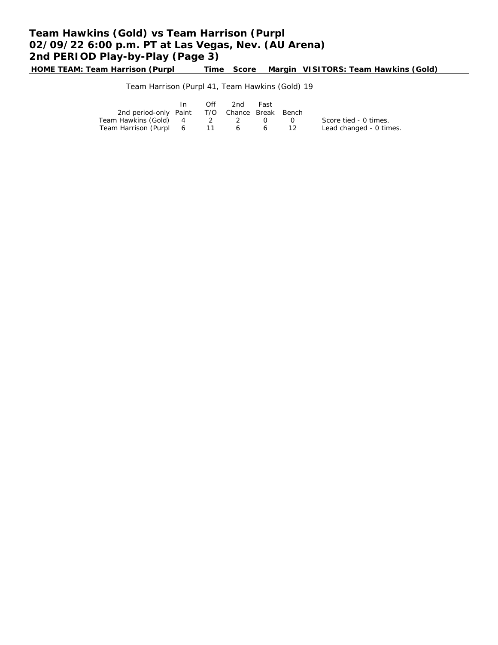# **Team Hawkins (Gold) vs Team Harrison (Purpl 02/09/22 6:00 p.m. PT at Las Vegas, Nev. (AU Arena) 2nd PERIOD Play-by-Play (Page 3)**

**HOME TEAM: Team Harrison (Purpl Time Score Margin VISITORS: Team Hawkins (Gold)**

Team Harrison (Purpl 41, Team Hawkins (Gold) 19

|                                              | In | Off | 2nd | Fast         |                         |
|----------------------------------------------|----|-----|-----|--------------|-------------------------|
| 2nd period-only Paint T/O Chance Break Bench |    |     |     |              |                         |
| Team Hawkins (Gold) 4                        |    | 2 2 |     | $\bigcap$ () | Score tied - 0 times.   |
| Team Harrison (Purpl 6 11 6                  |    |     |     |              | Lead changed - 0 times. |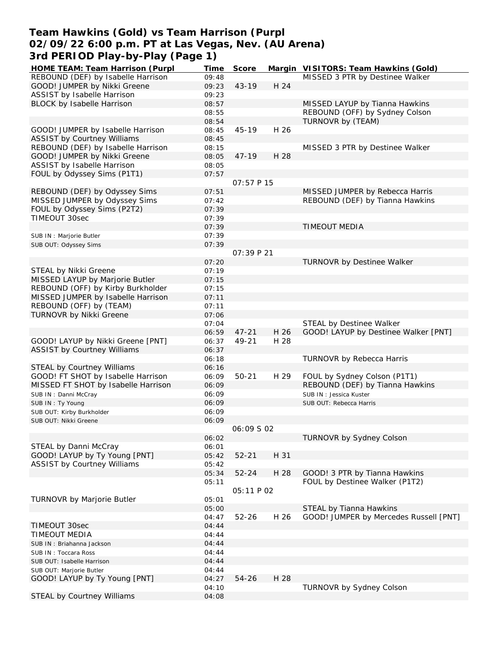## **Team Hawkins (Gold) vs Team Harrison (Purpl 02/09/22 6:00 p.m. PT at Las Vegas, Nev. (AU Arena) 3rd PERIOD Play-by-Play (Page 1)**

| HOME TEAM: Team Harrison (Purpl     | Time  | Score             |      | Margin VISITORS: Team Hawkins (Gold)   |
|-------------------------------------|-------|-------------------|------|----------------------------------------|
| REBOUND (DEF) by Isabelle Harrison  | 09:48 |                   |      | MISSED 3 PTR by Destinee Walker        |
| GOOD! JUMPER by Nikki Greene        | 09:23 | $43 - 19$         | H 24 |                                        |
| ASSIST by Isabelle Harrison         | 09:23 |                   |      |                                        |
| BLOCK by Isabelle Harrison          | 08:57 |                   |      | MISSED LAYUP by Tianna Hawkins         |
|                                     | 08:55 |                   |      | REBOUND (OFF) by Sydney Colson         |
|                                     | 08:54 |                   |      | TURNOVR by (TEAM)                      |
| GOOD! JUMPER by Isabelle Harrison   | 08:45 | $45 - 19$         | H 26 |                                        |
| <b>ASSIST by Courtney Williams</b>  | 08:45 |                   |      |                                        |
| REBOUND (DEF) by Isabelle Harrison  | 08:15 |                   |      | MISSED 3 PTR by Destinee Walker        |
| GOOD! JUMPER by Nikki Greene        | 08:05 | $47 - 19$         | H 28 |                                        |
| ASSIST by Isabelle Harrison         | 08:05 |                   |      |                                        |
| FOUL by Odyssey Sims (P1T1)         |       |                   |      |                                        |
|                                     | 07:57 | 07:57 P 15        |      |                                        |
|                                     |       |                   |      |                                        |
| REBOUND (DEF) by Odyssey Sims       | 07:51 |                   |      | MISSED JUMPER by Rebecca Harris        |
| MISSED JUMPER by Odyssey Sims       | 07:42 |                   |      | REBOUND (DEF) by Tianna Hawkins        |
| FOUL by Odyssey Sims (P2T2)         | 07:39 |                   |      |                                        |
| TIMEOUT 30sec                       | 07:39 |                   |      |                                        |
|                                     | 07:39 |                   |      | <b>TIMEOUT MEDIA</b>                   |
| SUB IN : Marjorie Butler            | 07:39 |                   |      |                                        |
| SUB OUT: Odyssey Sims               | 07:39 |                   |      |                                        |
|                                     |       | 07:39 P 21        |      |                                        |
|                                     | 07:20 |                   |      | TURNOVR by Destinee Walker             |
| STEAL by Nikki Greene               | 07:19 |                   |      |                                        |
| MISSED LAYUP by Marjorie Butler     | 07:15 |                   |      |                                        |
| REBOUND (OFF) by Kirby Burkholder   | 07:15 |                   |      |                                        |
| MISSED JUMPER by Isabelle Harrison  | 07:11 |                   |      |                                        |
| REBOUND (OFF) by (TEAM)             | 07:11 |                   |      |                                        |
| TURNOVR by Nikki Greene             | 07:06 |                   |      |                                        |
|                                     | 07:04 |                   |      | STEAL by Destinee Walker               |
|                                     | 06:59 | $47 - 21$         | H 26 | GOOD! LAYUP by Destinee Walker [PNT]   |
| GOOD! LAYUP by Nikki Greene [PNT]   | 06:37 | 49-21             | H 28 |                                        |
| <b>ASSIST by Courtney Williams</b>  | 06:37 |                   |      |                                        |
|                                     | 06:18 |                   |      | TURNOVR by Rebecca Harris              |
| <b>STEAL by Courtney Williams</b>   | 06:16 |                   |      |                                        |
| GOOD! FT SHOT by Isabelle Harrison  | 06:09 | $50 - 21$         | H 29 | FOUL by Sydney Colson (P1T1)           |
| MISSED FT SHOT by Isabelle Harrison | 06:09 |                   |      | REBOUND (DEF) by Tianna Hawkins        |
|                                     |       |                   |      |                                        |
| SUB IN: Danni McCray                | 06:09 |                   |      | SUB IN: Jessica Kuster                 |
| SUB IN: Ty Young                    | 06:09 |                   |      | SUB OUT: Rebecca Harris                |
| SUB OUT: Kirby Burkholder           | 06:09 |                   |      |                                        |
| SUB OUT: Nikki Greene               | 06:09 |                   |      |                                        |
|                                     |       | <i>06:09 S 02</i> |      |                                        |
|                                     | 06:02 |                   |      | TURNOVR by Sydney Colson               |
| STEAL by Danni McCray               | 06:01 |                   |      |                                        |
| GOOD! LAYUP by Ty Young [PNT]       | 05:42 | $52 - 21$         | H 31 |                                        |
| <b>ASSIST by Courtney Williams</b>  | 05:42 |                   |      |                                        |
|                                     | 05:34 | $52 - 24$         | H 28 | GOOD! 3 PTR by Tianna Hawkins          |
|                                     | 05:11 |                   |      | FOUL by Destinee Walker (P1T2)         |
|                                     |       | 05:11 P 02        |      |                                        |
| TURNOVR by Marjorie Butler          | 05:01 |                   |      |                                        |
|                                     | 05:00 |                   |      | STEAL by Tianna Hawkins                |
|                                     | 04:47 | $52 - 26$         | H 26 | GOOD! JUMPER by Mercedes Russell [PNT] |
| TIMEOUT 30sec                       | 04:44 |                   |      |                                        |
| <b>TIMEOUT MEDIA</b>                | 04:44 |                   |      |                                        |
| SUB IN: Briahanna Jackson           | 04:44 |                   |      |                                        |
| SUB IN: Toccara Ross                | 04:44 |                   |      |                                        |
| SUB OUT: Isabelle Harrison          | 04:44 |                   |      |                                        |
| SUB OUT: Marjorie Butler            | 04:44 |                   |      |                                        |
| GOOD! LAYUP by Ty Young [PNT]       | 04:27 | 54-26             | H 28 |                                        |
|                                     | 04:10 |                   |      | TURNOVR by Sydney Colson               |
| STEAL by Courtney Williams          | 04:08 |                   |      |                                        |
|                                     |       |                   |      |                                        |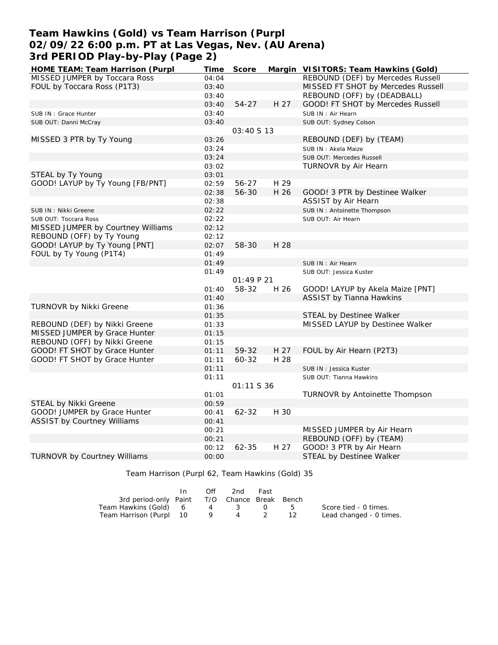## **Team Hawkins (Gold) vs Team Harrison (Purpl 02/09/22 6:00 p.m. PT at Las Vegas, Nev. (AU Arena) 3rd PERIOD Play-by-Play (Page 2)**

| HOME TEAM: Team Harrison (Purpl                       | Time           | Score      |      | Margin VISITORS: Team Hawkins (Gold) |
|-------------------------------------------------------|----------------|------------|------|--------------------------------------|
| MISSED JUMPER by Toccara Ross                         | 04:04          |            |      | REBOUND (DEF) by Mercedes Russell    |
| FOUL by Toccara Ross (P1T3)                           | 03:40          |            |      | MISSED FT SHOT by Mercedes Russell   |
|                                                       | 03:40          |            |      | REBOUND (OFF) by (DEADBALL)          |
|                                                       | 03:40          | $54 - 27$  | H 27 | GOOD! FT SHOT by Mercedes Russell    |
| SUB IN : Grace Hunter                                 | 03:40          |            |      | SUB IN : Air Hearn                   |
| SUB OUT: Danni McCray                                 | 03:40          |            |      | SUB OUT: Sydney Colson               |
|                                                       |                | 03:40 S 13 |      |                                      |
| MISSED 3 PTR by Ty Young                              | 03:26          |            |      | REBOUND (DEF) by (TEAM)              |
|                                                       | 03:24          |            |      | SUB IN: Akela Maize                  |
|                                                       | 03:24          |            |      | SUB OUT: Mercedes Russell            |
|                                                       | 03:02          |            |      | TURNOVR by Air Hearn                 |
| STEAL by Ty Young                                     | 03:01          |            |      |                                      |
| GOOD! LAYUP by Ty Young [FB/PNT]                      | 02:59          | 56-27      | H 29 |                                      |
|                                                       | 02:38          | 56-30      | H 26 | GOOD! 3 PTR by Destinee Walker       |
|                                                       | 02:38          |            |      | ASSIST by Air Hearn                  |
| SUB IN: Nikki Greene                                  | 02:22          |            |      | SUB IN: Antoinette Thompson          |
| SUB OUT: Toccara Ross                                 | 02:22          |            |      | SUB OUT: Air Hearn                   |
| MISSED JUMPER by Courtney Williams                    | 02:12          |            |      |                                      |
| REBOUND (OFF) by Ty Young                             | 02:12          |            |      |                                      |
| GOOD! LAYUP by Ty Young [PNT]                         | 02:07          | 58-30      | H 28 |                                      |
| FOUL by Ty Young (P1T4)                               | 01:49          |            |      |                                      |
|                                                       | 01:49          |            |      | SUB IN: Air Hearn                    |
|                                                       | 01:49          |            |      | SUB OUT: Jessica Kuster              |
|                                                       |                | 01:49 P21  |      |                                      |
|                                                       | 01:40          | 58-32      | H 26 | GOOD! LAYUP by Akela Maize [PNT]     |
|                                                       | 01:40          |            |      | <b>ASSIST by Tianna Hawkins</b>      |
| TURNOVR by Nikki Greene                               | 01:36          |            |      |                                      |
|                                                       | 01:35          |            |      | STEAL by Destinee Walker             |
| REBOUND (DEF) by Nikki Greene                         | 01:33          |            |      | MISSED LAYUP by Destinee Walker      |
| MISSED JUMPER by Grace Hunter                         | 01:15          |            |      |                                      |
| REBOUND (OFF) by Nikki Greene                         | 01:15          |            |      |                                      |
| GOOD! FT SHOT by Grace Hunter                         | 01:11          | 59-32      | H 27 | FOUL by Air Hearn (P2T3)             |
| GOOD! FT SHOT by Grace Hunter                         | 01:11          | 60-32      | H 28 |                                      |
|                                                       | 01:11          |            |      | SUB IN: Jessica Kuster               |
|                                                       | 01:11          |            |      | SUB OUT: Tianna Hawkins              |
|                                                       |                | 01:11 S 36 |      |                                      |
|                                                       | 01:01          |            |      | TURNOVR by Antoinette Thompson       |
| STEAL by Nikki Greene<br>GOOD! JUMPER by Grace Hunter | 00:59          | $62 - 32$  | H 30 |                                      |
|                                                       | 00:41          |            |      |                                      |
| <b>ASSIST by Courtney Williams</b>                    | 00:41<br>00:21 |            |      | MISSED JUMPER by Air Hearn           |
|                                                       | 00:21          |            |      | REBOUND (OFF) by (TEAM)              |
|                                                       | 00:12          | $62 - 35$  | H 27 | GOOD! 3 PTR by Air Hearn             |
| <b>TURNOVR by Courtney Williams</b>                   | 00:00          |            |      | STEAL by Destinee Walker             |
|                                                       |                |            |      |                                      |

Team Harrison (Purpl 62, Team Hawkins (Gold) 35

|                                              | In. | Off               | 2nd     | Fast     |                         |
|----------------------------------------------|-----|-------------------|---------|----------|-------------------------|
| 3rd period-only Paint T/O Chance Break Bench |     |                   |         |          |                         |
| Team Hawkins (Gold) 6                        |     |                   | 4 3 0 5 |          | Score tied - 0 times.   |
| Team Harrison (Purpl 10                      |     | $\cdot$ 9 $\cdot$ | 4       | $\sim$ 2 | Lead changed - 0 times. |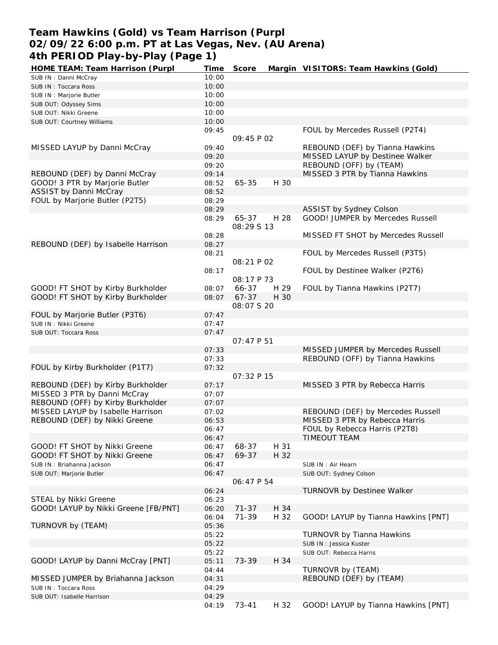## **Team Hawkins (Gold) vs Team Harrison (Purpl 02/09/22 6:00 p.m. PT at Las Vegas, Nev. (AU Arena) 4th PERIOD Play-by-Play (Page 1)**

| HOME TEAM: Team Harrison (Purpl      | Time  | Score       |      | Margin VISITORS: Team Hawkins (Gold) |
|--------------------------------------|-------|-------------|------|--------------------------------------|
| SUB IN: Danni McCray                 | 10:00 |             |      |                                      |
| SUB IN: Toccara Ross                 | 10:00 |             |      |                                      |
| SUB IN : Marjorie Butler             | 10:00 |             |      |                                      |
| SUB OUT: Odyssey Sims                | 10:00 |             |      |                                      |
| SUB OUT: Nikki Greene                | 10:00 |             |      |                                      |
| SUB OUT: Courtney Williams           | 10:00 |             |      |                                      |
|                                      | 09:45 |             |      | FOUL by Mercedes Russell (P2T4)      |
|                                      |       | 09:45 P 02  |      |                                      |
| MISSED LAYUP by Danni McCray         | 09:40 |             |      | REBOUND (DEF) by Tianna Hawkins      |
|                                      | 09:20 |             |      | MISSED LAYUP by Destinee Walker      |
|                                      | 09:20 |             |      | REBOUND (OFF) by (TEAM)              |
| REBOUND (DEF) by Danni McCray        | 09:14 |             |      | MISSED 3 PTR by Tianna Hawkins       |
| GOOD! 3 PTR by Marjorie Butler       | 08:52 | 65-35       | H 30 |                                      |
| ASSIST by Danni McCray               | 08:52 |             |      |                                      |
| FOUL by Marjorie Butler (P2T5)       | 08:29 |             |      |                                      |
|                                      | 08:29 |             |      | ASSIST by Sydney Colson              |
|                                      | 08:29 | 65-37       | H 28 | GOOD! JUMPER by Mercedes Russell     |
|                                      |       | 08:29 \$ 13 |      |                                      |
|                                      | 08:28 |             |      | MISSED FT SHOT by Mercedes Russell   |
| REBOUND (DEF) by Isabelle Harrison   | 08:27 |             |      |                                      |
|                                      | 08:21 |             |      | FOUL by Mercedes Russell (P3T5)      |
|                                      |       | 08:21 P 02  |      |                                      |
|                                      | 08:17 |             |      | FOUL by Destinee Walker (P2T6)       |
|                                      |       | 08:17 P 73  |      |                                      |
| GOOD! FT SHOT by Kirby Burkholder    |       |             |      |                                      |
|                                      | 08:07 | 66-37       | H 29 | FOUL by Tianna Hawkins (P2T7)        |
| GOOD! FT SHOT by Kirby Burkholder    | 08:07 | $67 - 37$   | H 30 |                                      |
|                                      |       | 08:07 \$ 20 |      |                                      |
| FOUL by Marjorie Butler (P3T6)       | 07:47 |             |      |                                      |
| SUB IN: Nikki Greene                 | 07:47 |             |      |                                      |
| SUB OUT: Toccara Ross                | 07:47 |             |      |                                      |
|                                      |       | 07:47 P 51  |      |                                      |
|                                      | 07:33 |             |      | MISSED JUMPER by Mercedes Russell    |
|                                      | 07:33 |             |      | REBOUND (OFF) by Tianna Hawkins      |
| FOUL by Kirby Burkholder (P1T7)      | 07:32 |             |      |                                      |
|                                      |       | 07:32 P 15  |      |                                      |
| REBOUND (DEF) by Kirby Burkholder    | 07:17 |             |      | MISSED 3 PTR by Rebecca Harris       |
| MISSED 3 PTR by Danni McCray         | 07:07 |             |      |                                      |
| REBOUND (OFF) by Kirby Burkholder    | 07:07 |             |      |                                      |
| MISSED LAYUP by Isabelle Harrison    | 07:02 |             |      | REBOUND (DEF) by Mercedes Russell    |
| REBOUND (DEF) by Nikki Greene        | 06:53 |             |      | MISSED 3 PTR by Rebecca Harris       |
|                                      | 06:47 |             |      | FOUL by Rebecca Harris (P2T8)        |
|                                      | 06:47 |             |      | <b>TIMEOUT TEAM</b>                  |
| GOOD! FT SHOT by Nikki Greene        | 06:47 | 68-37       | H 31 |                                      |
| GOOD! FT SHOT by Nikki Greene        | 06:47 | 69-37       | H 32 |                                      |
| SUB IN: Briahanna Jackson            | 06:47 |             |      | SUB IN : Air Hearn                   |
| SUB OUT: Marjorie Butler             | 06:47 |             |      | SUB OUT: Sydney Colson               |
|                                      |       | 06:47 P 54  |      |                                      |
|                                      | 06:24 |             |      | TURNOVR by Destinee Walker           |
| STEAL by Nikki Greene                | 06:23 |             |      |                                      |
| GOOD! LAYUP by Nikki Greene [FB/PNT] | 06:20 | $71 - 37$   | H 34 |                                      |
|                                      | 06:04 | $71 - 39$   | H 32 | GOOD! LAYUP by Tianna Hawkins [PNT]  |
| TURNOVR by (TEAM)                    | 05:36 |             |      |                                      |
|                                      | 05:22 |             |      | TURNOVR by Tianna Hawkins            |
|                                      | 05:22 |             |      | SUB IN: Jessica Kuster               |
|                                      | 05:22 |             |      | SUB OUT: Rebecca Harris              |
| GOOD! LAYUP by Danni McCray [PNT]    | 05:11 | 73-39       | H 34 |                                      |
|                                      | 04:44 |             |      | TURNOVR by (TEAM)                    |
| MISSED JUMPER by Briahanna Jackson   | 04:31 |             |      | REBOUND (DEF) by (TEAM)              |
| SUB IN: Toccara Ross                 | 04:29 |             |      |                                      |
| SUB OUT: Isabelle Harrison           | 04:29 |             |      |                                      |
|                                      | 04:19 | $73 - 41$   | H 32 | GOOD! LAYUP by Tianna Hawkins [PNT]  |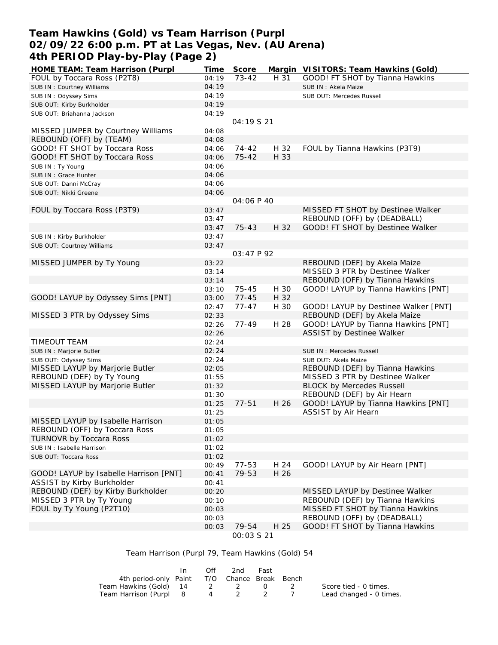## **Team Hawkins (Gold) vs Team Harrison (Purpl 02/09/22 6:00 p.m. PT at Las Vegas, Nev. (AU Arena) 4th PERIOD Play-by-Play (Page 2)**

| HOME TEAM: Team Harrison (Purpl        | Time  | Score             |      | Margin VISITORS: Team Hawkins (Gold) |
|----------------------------------------|-------|-------------------|------|--------------------------------------|
| FOUL by Toccara Ross (P2T8)            | 04:19 | $73 - 42$         | H 31 | GOOD! FT SHOT by Tianna Hawkins      |
| SUB IN: Courtney Williams              | 04:19 |                   |      | SUB IN: Akela Maize                  |
| SUB IN: Odyssey Sims                   | 04:19 |                   |      | SUB OUT: Mercedes Russell            |
| SUB OUT: Kirby Burkholder              | 04:19 |                   |      |                                      |
| SUB OUT: Briahanna Jackson             | 04:19 |                   |      |                                      |
|                                        |       | 04:19 S 21        |      |                                      |
| MISSED JUMPER by Courtney Williams     | 04:08 |                   |      |                                      |
| REBOUND (OFF) by (TEAM)                | 04:08 |                   |      |                                      |
| GOOD! FT SHOT by Toccara Ross          | 04:06 | 74-42             | H 32 | FOUL by Tianna Hawkins (P3T9)        |
| GOOD! FT SHOT by Toccara Ross          | 04:06 | $75 - 42$         | H 33 |                                      |
| SUB IN: Ty Young                       | 04:06 |                   |      |                                      |
| SUB IN : Grace Hunter                  | 04:06 |                   |      |                                      |
| SUB OUT: Danni McCray                  | 04:06 |                   |      |                                      |
| SUB OUT: Nikki Greene                  | 04:06 |                   |      |                                      |
|                                        |       | 04:06 P 40        |      |                                      |
| FOUL by Toccara Ross (P3T9)            | 03:47 |                   |      | MISSED FT SHOT by Destinee Walker    |
|                                        | 03:47 |                   |      | REBOUND (OFF) by (DEADBALL)          |
|                                        |       | $75 - 43$         |      | GOOD! FT SHOT by Destinee Walker     |
|                                        | 03:47 |                   | H 32 |                                      |
| SUB IN: Kirby Burkholder               | 03:47 |                   |      |                                      |
| SUB OUT: Courtney Williams             | 03:47 | 03:47 P 92        |      |                                      |
|                                        |       |                   |      |                                      |
| MISSED JUMPER by Ty Young              | 03:22 |                   |      | REBOUND (DEF) by Akela Maize         |
|                                        | 03:14 |                   |      | MISSED 3 PTR by Destinee Walker      |
|                                        | 03:14 |                   |      | REBOUND (OFF) by Tianna Hawkins      |
|                                        | 03:10 | $75 - 45$         | H 30 | GOOD! LAYUP by Tianna Hawkins [PNT]  |
| GOOD! LAYUP by Odyssey Sims [PNT]      | 03:00 | $77 - 45$         | H 32 |                                      |
|                                        | 02:47 | $77 - 47$         | H 30 | GOOD! LAYUP by Destinee Walker [PNT] |
| MISSED 3 PTR by Odyssey Sims           | 02:33 |                   |      | REBOUND (DEF) by Akela Maize         |
|                                        | 02:26 | 77-49             | H 28 | GOOD! LAYUP by Tianna Hawkins [PNT]  |
|                                        | 02:26 |                   |      | <b>ASSIST by Destinee Walker</b>     |
| <b>TIMEOUT TEAM</b>                    | 02:24 |                   |      |                                      |
| SUB IN : Marjorie Butler               | 02:24 |                   |      | SUB IN: Mercedes Russell             |
| SUB OUT: Odyssey Sims                  | 02:24 |                   |      | SUB OUT: Akela Maize                 |
| MISSED LAYUP by Marjorie Butler        | 02:05 |                   |      | REBOUND (DEF) by Tianna Hawkins      |
| REBOUND (DEF) by Ty Young              | 01:55 |                   |      | MISSED 3 PTR by Destinee Walker      |
| MISSED LAYUP by Marjorie Butler        | 01:32 |                   |      | <b>BLOCK by Mercedes Russell</b>     |
|                                        | 01:30 |                   |      | REBOUND (DEF) by Air Hearn           |
|                                        | 01:25 | $77 - 51$         | H 26 | GOOD! LAYUP by Tianna Hawkins [PNT]  |
|                                        | 01:25 |                   |      | ASSIST by Air Hearn                  |
| MISSED LAYUP by Isabelle Harrison      | 01:05 |                   |      |                                      |
| REBOUND (OFF) by Toccara Ross          | 01:05 |                   |      |                                      |
| <b>TURNOVR by Toccara Ross</b>         | 01:02 |                   |      |                                      |
| SUB IN: Isabelle Harrison              | 01:02 |                   |      |                                      |
| SUB OUT: Toccara Ross                  | 01:02 |                   |      |                                      |
|                                        | 00:49 | 77-53             | H 24 | GOOD! LAYUP by Air Hearn [PNT]       |
| GOOD! LAYUP by Isabelle Harrison [PNT] | 00:41 | 79-53             | H 26 |                                      |
| ASSIST by Kirby Burkholder             | 00:41 |                   |      |                                      |
| REBOUND (DEF) by Kirby Burkholder      | 00:20 |                   |      | MISSED LAYUP by Destinee Walker      |
| MISSED 3 PTR by Ty Young               | 00:10 |                   |      | REBOUND (DEF) by Tianna Hawkins      |
| FOUL by Ty Young (P2T10)               | 00:03 |                   |      | MISSED FT SHOT by Tianna Hawkins     |
|                                        | 00:03 |                   |      | REBOUND (OFF) by (DEADBALL)          |
|                                        | 00:03 | 79-54             | H 25 | GOOD! FT SHOT by Tianna Hawkins      |
|                                        |       | <i>00:03 S 21</i> |      |                                      |

#### Team Harrison (Purpl 79, Team Hawkins (Gold) 54

|                                              | In. | Off | 2nd | Fast |                         |
|----------------------------------------------|-----|-----|-----|------|-------------------------|
| 4th period-only Paint T/O Chance Break Bench |     |     |     |      |                         |
| Team Hawkins (Gold) 14 2 2 0 2               |     |     |     |      | Score tied - 0 times.   |
| Team Harrison (Purpl 8 4 2 2 7               |     |     |     |      | Lead changed - 0 times. |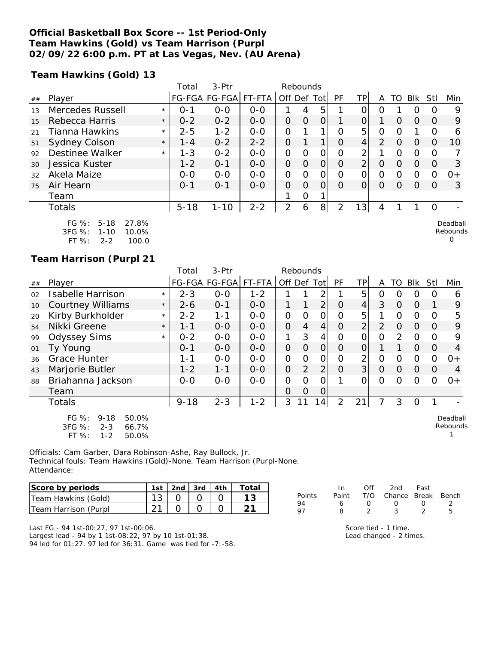### **Official Basketball Box Score -- 1st Period-Only Team Hawkins (Gold) vs Team Harrison (Purpl 02/09/22 6:00 p.m. PT at Las Vegas, Nev. (AU Arena)**

**Team Hawkins (Gold) 13**

|    |                                                               |         | Total    | 3-Ptr         |         | Rebounds       |          |      |           |                |                |                  |          |      |                      |
|----|---------------------------------------------------------------|---------|----------|---------------|---------|----------------|----------|------|-----------|----------------|----------------|------------------|----------|------|----------------------|
| ## | Player                                                        |         |          | FG-FGA FG-FGA | FT-FTA  | Off Def        |          | Totl | <b>PF</b> | TP             | A              | TO               | Blk      | Stll | Min                  |
| 13 | Mercedes Russell                                              | $\star$ | $0 - 1$  | $0 - 0$       | $0 - 0$ |                | 4        | 5    |           | ი              | Ω              |                  | Ω        |      | 9                    |
| 15 | Rebecca Harris                                                | $\star$ | $0 - 2$  | $0 - 2$       | $0 - 0$ | 0              | $\Omega$ | 0    |           | 0              |                | $\Omega$         | $\Omega$ | O    | 9                    |
| 21 | Tianna Hawkins                                                | $\star$ | $2 - 5$  | $1 - 2$       | $0 - 0$ | 0              |          |      | 0         | 5              | 0              | Ω                |          |      | 6                    |
| 51 | <b>Sydney Colson</b>                                          | $\star$ | $1 - 4$  | $0 - 2$       | $2 - 2$ | $\Omega$       |          |      | Ω         | 4              | $\overline{2}$ | O                | $\Omega$ |      | 10                   |
| 92 | Destinee Walker                                               | $\star$ | $1 - 3$  | $0 - 2$       | $0 - 0$ | 0              | $\Omega$ | 0    | $\Omega$  | 2              |                | Ω                | 0        | O    |                      |
| 30 | Jessica Kuster                                                |         | $1 - 2$  | $0 - 1$       | $0-0$   | 0              | 0        | 0    | O         | $\overline{2}$ | 0              | $\left( \right)$ | $\Omega$ | O    | 3                    |
| 32 | Akela Maize                                                   |         | $0 - 0$  | $0 - 0$       | $0-0$   | $\overline{O}$ | Ω        | 0    | Ω         | $\Omega$       | 0              | Ω                | 0        | ი    | $0+$                 |
| 75 | Air Hearn                                                     |         | $0 - 1$  | $O - 1$       | $0 - 0$ | $\Omega$       | $\Omega$ | 0    | Ω         | Ω              | O              | Ω                | $\Omega$ | Ω    | 3                    |
|    | Team                                                          |         |          |               |         |                | O        |      |           |                |                |                  |          |      |                      |
|    | <b>Totals</b>                                                 |         | $5 - 18$ | $1 - 10$      | $2 - 2$ | $\overline{2}$ | 6        | 8    | 2         | 13             | 4              |                  |          | 0    |                      |
|    | $FG \%$ :<br>$5 - 18$<br>27.8%<br>3FG %:<br>10.0%<br>$1 - 10$ |         |          |               |         |                |          |      |           |                |                |                  |          |      | Deadball<br>Rebounds |

FT %: 2-2 100.0

#### **Team Harrison (Purpl 21**

|    |                                                                                         |         | 3-Ptr<br>Rebounds<br>Total |                      |         |              |                |                |                |                |                |          |                |          |                      |
|----|-----------------------------------------------------------------------------------------|---------|----------------------------|----------------------|---------|--------------|----------------|----------------|----------------|----------------|----------------|----------|----------------|----------|----------------------|
| ## | Player                                                                                  |         |                            | FG-FGA FG-FGA FT-FTA |         |              | Off Def Tot    |                | PF             | <b>TP</b>      | A              | TO       | <b>Blk</b>     | Stll     | Min                  |
| 02 | <b>Isabelle Harrison</b>                                                                | $\star$ | $2 - 3$                    | $O-O$                | $1 - 2$ |              |                | 2              |                | 5              | 0              | O        | 0              | $\Omega$ | 6                    |
| 10 | <b>Courtney Williams</b>                                                                | $\star$ | $2 - 6$                    | $O - 1$              | $0-0$   | $\mathbf{1}$ |                | 2              | $\Omega$       | $\overline{4}$ | 3              | $\Omega$ | $\Omega$       |          | 9                    |
| 20 | Kirby Burkholder                                                                        | $\star$ | $2 - 2$                    | $1 - 1$              | $0-0$   | 0            | $\Omega$       | $\overline{O}$ | O              | 5              |                | 0        | $\Omega$       | 0        | 5                    |
| 54 | Nikki Greene                                                                            | $\star$ | $1 - 1$                    | $0-0$                | $O-O$   | 0            | $\overline{4}$ | 4              | 0              | $\overline{2}$ | $\overline{2}$ | $\Omega$ | $\Omega$       | 0        | 9                    |
| 99 | <b>Odyssey Sims</b>                                                                     | $\star$ | $0 - 2$                    | $0-0$                | $0-0$   | 1            | 3              | 4              | O              | 0              | $\mathcal{O}$  | 2        | $\circ$        | 0        | 9                    |
| 01 | Ty Young                                                                                | $O - 1$ |                            | $0 - 0$              | $0 - 0$ | 0            | $\Omega$       | $\Omega$       | 0              | O              |                |          | $\Omega$       | 0        | 4                    |
| 36 | <b>Grace Hunter</b>                                                                     |         | $1 - 1$                    | $0-0$                | $0-0$   | 0            | $\Omega$       | $\overline{O}$ | $\overline{O}$ | $\overline{2}$ | $\Omega$       | $\circ$  | $\Omega$       | 0        | $0+$                 |
| 43 | Marjorie Butler                                                                         |         | $1 - 2$                    | $1 - 1$              | $0-0$   | $\mathsf O$  | 2              | 2              | $\overline{O}$ | 3              | $\overline{O}$ | $\Omega$ | $\overline{O}$ | 0        | 4                    |
| 88 | Briahanna Jackson                                                                       |         | $O-O$                      | $0 - 0$              | $0-0$   | 0            | 0              | $\overline{O}$ |                | O              | $\Omega$       | $\Omega$ | $\Omega$       | $\Omega$ | $0+$                 |
|    | Team                                                                                    |         |                            |                      |         | 0            | $\Omega$       | 0              |                |                |                |          |                |          |                      |
|    | Totals                                                                                  |         | $9 - 18$                   | $2 - 3$              | $1 - 2$ | 3            | 11             | 14             | $\overline{2}$ | 21             | 7              | 3        | $\Omega$       | 1        |                      |
|    | FG %:<br>50.0%<br>$9 - 18$<br>$3FG \%$<br>$2 - 3$<br>66.7%<br>FT %:<br>$1 - 2$<br>50.0% |         |                            |                      |         |              |                |                |                |                |                |          |                |          | Deadball<br>Rebounds |

Officials: Cam Garber, Dara Robinson-Ashe, Ray Bullock, Jr. Technical fouls: Team Hawkins (Gold)-None. Team Harrison (Purpl-None. Attendance:

| Score by periods     | 1st   2nd   3rd   4th |  | Total |
|----------------------|-----------------------|--|-------|
| Team Hawkins (Gold)  |                       |  |       |
| Team Harrison (Purpl |                       |  |       |

|        | In. | Off              | 2nd                          | Fast             |   |
|--------|-----|------------------|------------------------------|------------------|---|
| Points |     |                  | Paint T/O Chance Break Bench |                  |   |
| 94     | 6   | $\left( \right)$ | $\left( \right)$             | $\left( \right)$ |   |
| 97     | 8.  | $\mathcal{D}$    | ્ર                           |                  | ь |
|        |     |                  |                              |                  |   |

0

Last FG - 94 1st-00:27, 97 1st-00:06. Largest lead - 94 by 1 1st-08:22, 97 by 10 1st-01:38. 94 led for 01:27. 97 led for 36:31. Game was tied for -7:-58. Score tied - 1 time. Lead changed - 2 times.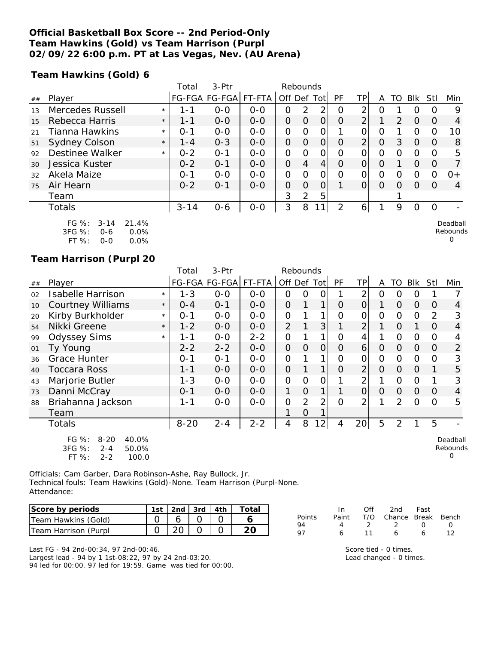### **Official Basketball Box Score -- 2nd Period-Only Team Hawkins (Gold) vs Team Harrison (Purpl 02/09/22 6:00 p.m. PT at Las Vegas, Nev. (AU Arena)**

**Team Hawkins (Gold) 6**

|    |                                                             |         | Total    | 3-Ptr         |         |                | Rebounds       |     |          |                |                |               |          |      |                      |
|----|-------------------------------------------------------------|---------|----------|---------------|---------|----------------|----------------|-----|----------|----------------|----------------|---------------|----------|------|----------------------|
| ## | Player                                                      |         |          | FG-FGA FG-FGA | FT-FTA  | Off Def        |                | Tot | PF       | ТP             | A              | TO            | Blk      | Stll | Min                  |
| 13 | Mercedes Russell                                            | $\star$ | 1 - 1    | $0 - 0$       | $0 - 0$ | Ο              | $\overline{2}$ | 2   | O        | っ              | 0              |               | 0        |      | 9                    |
| 15 | Rebecca Harris                                              | $\star$ | $1 - 1$  | $0 - 0$       | $0 - 0$ | 0              | 0              | 0   | O        | $\overline{2}$ |                | $\mathcal{P}$ | $\Omega$ | 0    | 4                    |
| 21 | Tianna Hawkins                                              | $\star$ | $0 - 1$  | $0 - 0$       | $0-0$   | $\overline{O}$ | 0              | Ο   |          | Ο              | 0              |               | O        |      | 10                   |
| 51 | Sydney Colson                                               | $\star$ | $1 - 4$  | $0 - 3$       | $0 - 0$ | $\Omega$       | O              | 0   | Ω        | $\overline{2}$ | $\overline{O}$ | 3             | $\Omega$ |      | 8                    |
| 92 | <b>Destinee Walker</b>                                      | $\star$ | $0 - 2$  | $O - 1$       | $0 - 0$ | 0              | $\Omega$       | 0   | $\Omega$ | Ω              | Ω              | Ω             | 0        |      | 5                    |
| 30 | Jessica Kuster                                              |         | $0 - 2$  | $O - 1$       | $0 - 0$ | 0              | $\overline{4}$ | 4   | $\Omega$ | O              | O              |               | $\Omega$ | O)   |                      |
| 32 | Akela Maize                                                 |         | $O - 1$  | $O-O$         | $0-0$   | $\overline{O}$ | O              | 0   | Ω        | O              | 0              | Ω             | 0        | ი    | $0+$                 |
| 75 | Air Hearn                                                   |         | $0 - 2$  | $0 - 1$       | $0 - 0$ | $\Omega$       | $\Omega$       | 0   |          | 0              | $\Omega$       | Ω             | $\Omega$ | Ω    | $\overline{4}$       |
|    | Team                                                        |         |          |               |         | 3              | 2              | 5   |          |                |                |               |          |      |                      |
|    | <b>Totals</b>                                               |         | $3 - 14$ | $0 - 6$       | $0-0$   | 3              | 8              | 1   | っ        | 6              |                | 9             | 0        | 0    |                      |
|    | $FG \%$ :<br>21.4%<br>$3 - 14$<br>3FG %:<br>0.0%<br>$0 - 6$ |         |          |               |         |                |                |     |          |                |                |               |          |      | Deadball<br>Rebounds |

| .ט⁄ יט    | u-u | V.V 70 |
|-----------|-----|--------|
| FT $\%$ : | 0-0 | 0.0%   |

### **Team Harrison (Purpl 20**

|    |                                                                                       |         | Total    | 3-Ptr         |         |                | Rebounds       |                |          |                |                |                |          |                |                           |
|----|---------------------------------------------------------------------------------------|---------|----------|---------------|---------|----------------|----------------|----------------|----------|----------------|----------------|----------------|----------|----------------|---------------------------|
| ## | Player                                                                                |         |          | FG-FGA FG-FGA | FT-FTA  | Off Def Tot    |                |                | PF       | <b>TP</b>      | A              | TO             | Blk      | Stl            | Min                       |
| 02 | <b>Isabelle Harrison</b>                                                              | $\star$ | $1 - 3$  | $O-O$         | $0 - 0$ | 0              | 0              | 0              |          | $\overline{2}$ | 0              | O              | 0        |                |                           |
| 10 | <b>Courtney Williams</b>                                                              | $\star$ | $0 - 4$  | $0 - 1$       | $0 - 0$ | $\overline{O}$ |                | 1              | $\Omega$ | $\Omega$       | 1              | 0              | $\Omega$ | 0              | 4                         |
| 20 | Kirby Burkholder                                                                      | $\star$ | $O - 1$  | $O-O$         | $0-0$   | $\overline{O}$ |                | 1              | O        | 0              | $\Omega$       | 0              | $\Omega$ | $\overline{2}$ | 3                         |
| 54 | Nikki Greene                                                                          | $\star$ | $1 - 2$  | $0-0$         | $0-0$   | $\overline{2}$ |                | 3              |          | $\overline{2}$ |                | 0              | 1        | 0              | $\overline{4}$            |
| 99 | <b>Odyssey Sims</b>                                                                   | $\star$ | 1-1      | $O-O$         | $2 - 2$ | 0              |                | 1              | O        | 4              | 1              | 0              | $\Omega$ | 0              | 4                         |
| 01 | Ty Young                                                                              |         | $2 - 2$  | $2 - 2$       | $0-0$   | $\overline{O}$ | $\overline{O}$ | $\overline{O}$ | O        | 6              | $\Omega$       | 0              | $\Omega$ | 0              | $\overline{2}$            |
| 36 | <b>Grace Hunter</b>                                                                   |         | $0 - 1$  | $O - 1$       | $0-0$   | $\Omega$       |                |                | O        | $\mathsf O$    | $\overline{O}$ | $\Omega$       | $\Omega$ | 0              | 3                         |
| 40 | Toccara Ross                                                                          |         | 1-1      | $0-0$         | $0-0$   | $\overline{O}$ |                | 1              | $\Omega$ | $\overline{2}$ | $\Omega$       | 0              | $\Omega$ |                | 5                         |
| 43 | Marjorie Butler                                                                       |         | $1 - 3$  | $O-O$         | $0-0$   | $\Omega$       | $\mathcal{O}$  | O              |          | 2              |                | 0              | 0        |                | 3                         |
| 73 | Danni McCray                                                                          |         | $0 - 1$  | $0 - 0$       | $0-0$   | 1              | $\overline{O}$ | 1              |          | $\overline{O}$ | $\Omega$       | 0              | $\Omega$ | 0              | 4                         |
| 88 | Briahanna Jackson                                                                     |         | 1-1      | $0 - 0$       | $0 - 0$ | $\overline{O}$ | 2              | 2              | $\Omega$ | 2              |                | 2              | O        | 0              | 5                         |
|    | Team                                                                                  |         |          |               |         |                | 0              |                |          |                |                |                |          |                |                           |
|    | Totals                                                                                |         | $8 - 20$ | $2 - 4$       | $2 - 2$ | 4              | 8              | 12             | 4        | 20             | 5              | $\overline{2}$ |          | 5              |                           |
|    | FG %:<br>$8 - 20$<br>40.0%<br>3FG %:<br>50.0%<br>$2 - 4$<br>FT %:<br>100.0<br>$2 - 2$ |         |          |               |         |                |                |                |          |                |                |                |          |                | Deadball<br>Rebounds<br>Ω |

Officials: Cam Garber, Dara Robinson-Ashe, Ray Bullock, Jr. Technical fouls: Team Hawkins (Gold)-None. Team Harrison (Purpl-None. Attendance:

| Score by periods     | 1st   2nd   3rd   4th |  | Total |
|----------------------|-----------------------|--|-------|
| Team Hawkins (Gold)  |                       |  |       |
| Team Harrison (Purpl |                       |  |       |

Last FG - 94 2nd-00:34, 97 2nd-00:46. Largest lead - 94 by 1 1st-08:22, 97 by 24 2nd-03:20. 94 led for 00:00. 97 led for 19:59. Game was tied for 00:00.

|        | In In | Off | 2nd                          | Fast             |              |
|--------|-------|-----|------------------------------|------------------|--------------|
| Points |       |     | Paint T/O Chance Break Bench |                  |              |
| 94     | 4     | - 2 | $\overline{2}$               | $\left( \right)$ | $\mathbf{I}$ |
| 97     | 6.    | 11  | А                            | А                |              |

 $\Omega$ 

Score tied - 0 times. Lead changed - 0 times.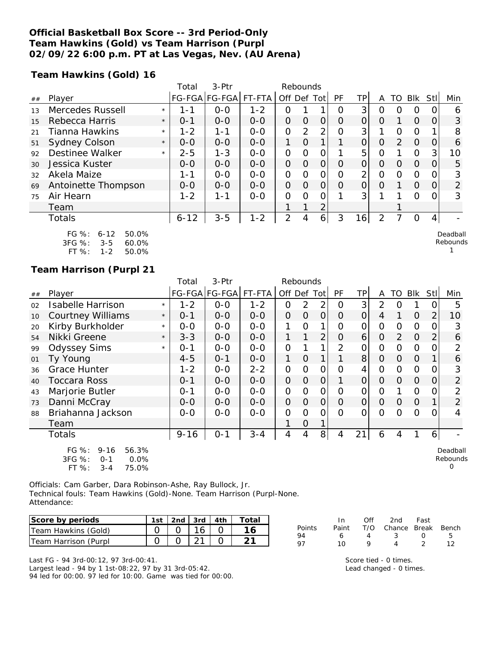### **Official Basketball Box Score -- 3rd Period-Only Team Hawkins (Gold) vs Team Harrison (Purpl 02/09/22 6:00 p.m. PT at Las Vegas, Nev. (AU Arena)**

**Team Hawkins (Gold) 16**

|     |                                                                                           |         | Total    | 3-Ptr                 |         |                | Rebounds      |                |    |                |          |          |            |                  |                      |
|-----|-------------------------------------------------------------------------------------------|---------|----------|-----------------------|---------|----------------|---------------|----------------|----|----------------|----------|----------|------------|------------------|----------------------|
| ##  | Player                                                                                    |         |          | FG-FGA FG-FGA  FT-FTA |         | Off            | Def           | Tot            | PF | ΤP             | A        | TO       | <b>Blk</b> | Stll             | Min                  |
| 1.3 | Mercedes Russell                                                                          | $\star$ | 1-1      | $0 - 0$               | $1 - 2$ | 0              |               |                | Ω  | 3              | Ω        | O        | O          |                  | 6                    |
| 15  | Rebecca Harris                                                                            | $\star$ | $0 - 1$  | $0 - 0$               | $0 - 0$ | 0              | O             | 0              | O  | 0              | $\Omega$ |          | $\Omega$   | $\Omega$         | 3                    |
| 21  | Tianna Hawkins                                                                            | $\star$ | $1 - 2$  | 1-1                   | $0 - 0$ | O              | $\mathcal{P}$ | 2 <sub>1</sub> | Ω  | 3              |          | $\Omega$ | $\Omega$   |                  | 8                    |
| 51  | <b>Sydney Colson</b>                                                                      | $\star$ | $O-O$    | $0 - 0$               | $0 - 0$ | 1              | O             |                |    | O              | 0        | 2        | $\Omega$   | O                | 6                    |
| 92  | <b>Destinee Walker</b>                                                                    | $\star$ | $2 - 5$  | $1 - 3$               | $0-0$   | 0              | $\Omega$      | 0              |    | 5              | 0        |          | $\Omega$   | 3                | 10                   |
| 30  | Jessica Kuster                                                                            |         | $0 - 0$  | $0 - 0$               | $0-0$   | $\Omega$       | $\Omega$      | O              | O  | $\overline{O}$ | $\Omega$ | $\Omega$ | $\Omega$   | $\Omega$         | 5                    |
| 32  | Akela Maize                                                                               |         | $1 - 1$  | $0 - 0$               | $0 - 0$ | O              | Ω             | 0              | 0  | 2              | 0        | O        | $\Omega$   |                  | 3                    |
| 69  | Antoinette Thompson                                                                       |         | $0 - 0$  | $0 - 0$               | $0 - 0$ | $\overline{O}$ | O             | 0              | O  | $\overline{O}$ | $\Omega$ |          | $\Omega$   | $\left( \right)$ | $\overline{2}$       |
| 75  | Air Hearn                                                                                 |         | $1 - 2$  | $1 - 1$               | $0-0$   | $\Omega$       | Ω             | ი              |    | 3              |          |          | $\Omega$   |                  | 3                    |
|     | Team                                                                                      |         |          |                       |         |                | 1             | 2              |    |                |          |          |            |                  |                      |
|     | <b>Totals</b>                                                                             |         | $6 - 12$ | $3 - 5$               | $1 - 2$ | 2              | 4             | 6 <sup>1</sup> | 3  | 16             | 2        |          | $\Omega$   | 4                |                      |
|     | $FG \%$ :<br>50.0%<br>$6 - 12$<br>3FG %:<br>60.0%<br>$3 - 5$<br>FT %:<br>50.0%<br>$1 - 2$ |         |          |                       |         |                |               |                |    |                |          |          |            |                  | Deadball<br>Rebounds |

#### **Team Harrison (Purpl 21**

|    |                                                                                                  |            | Total    | 3-Ptr         |         |             | Rebounds |                |          |                |                |          |                |             |                                  |
|----|--------------------------------------------------------------------------------------------------|------------|----------|---------------|---------|-------------|----------|----------------|----------|----------------|----------------|----------|----------------|-------------|----------------------------------|
| ## | Player                                                                                           |            |          | FG-FGA FG-FGA | FT-FTA  | Off Def Tot |          |                | PF       | TP             | A              | TO       | Blk            | <b>Stll</b> | Min                              |
| 02 | <b>Isabelle Harrison</b>                                                                         | $\star$    | 1-2      | $0 - 0$       | $1 - 2$ | 0           | 2        | $\overline{2}$ | 0        | 3              | $\overline{2}$ | ∩        |                |             | 5                                |
| 10 | <b>Courtney Williams</b>                                                                         | $\star$    | $0 - 1$  | $0 - 0$       | $0 - 0$ | 0           | $\Omega$ | $\overline{O}$ | $\Omega$ | $\overline{O}$ | 4              |          | $\Omega$       | 2           | 10                               |
| 20 | Kirby Burkholder                                                                                 | $^{\star}$ | $0-0$    | $0-0$         | $0 - 0$ |             | O        | 1              | $\Omega$ | O              | 0              | $\Omega$ | $\mathcal{O}$  |             | 3                                |
| 54 | Nikki Greene                                                                                     | $\star$    | $3 - 3$  | $O-O$         | $0 - 0$ |             |          | $\overline{2}$ | 0        | 6              | $\Omega$       | 2        | $\Omega$       |             | 6                                |
| 99 | <b>Odyssey Sims</b>                                                                              | $\star$    | $0 - 1$  | $O-O$         | $0 - 0$ | 0           |          |                | 2        | 0              | $\mathcal{O}$  | 0        | $\Omega$       |             |                                  |
| 01 | Ty Young                                                                                         |            | $4 - 5$  | $0 - 1$       | $O-O$   |             | $\Omega$ |                |          | 8              | $\Omega$       | $\Omega$ | $\Omega$       |             | 6                                |
| 36 | <b>Grace Hunter</b>                                                                              |            | 1-2      | $O-O$         | $2 - 2$ | 0           | 0        | 0              | 0        | 4              | 0              | 0        | $\Omega$       |             | 3                                |
| 40 | <b>Toccara Ross</b>                                                                              |            | $0 - 1$  | $0 - 0$       | $0 - 0$ | 0           | 0        | $\overline{O}$ |          | $\overline{O}$ | $\Omega$       | $\Omega$ | $\overline{O}$ | $\Omega$    | $\overline{2}$                   |
| 43 | Marjorie Butler                                                                                  |            | $0 - 1$  | $0 - 0$       | $0 - 0$ | 0           | 0        | $\mathcal{O}$  | $\Omega$ | $\overline{O}$ | $\Omega$       |          | $\Omega$       |             | 2                                |
| 73 | Danni McCray                                                                                     |            | $0-0$    | $0-0$         | $0 - 0$ | 0           | 0        | $\overline{O}$ | $\Omega$ | $\Omega$       | $\Omega$       | $\Omega$ | $\Omega$       |             | 2                                |
| 88 | Briahanna Jackson                                                                                |            | $0-0$    | $O-O$         | $0 - 0$ | 0           | $\Omega$ | O              | 0        | $\Omega$       | 0              | 0        | $\Omega$       |             | 4                                |
|    | Team                                                                                             |            |          |               |         |             | 0        |                |          |                |                |          |                |             |                                  |
|    | Totals                                                                                           |            | $9 - 16$ | $0 - 1$       | $3 - 4$ | 4           | 4        | 8 <sup>1</sup> | 4        | 21             | 6              | 4        |                | 6           |                                  |
|    | FG %:<br>$9 - 16$<br>56.3%<br>3FG %:<br>0.0%<br>$O - 1$<br>$FT OZ$ .<br>2 <sub>1</sub><br>75 NOL |            |          |               |         |             |          |                |          |                |                |          |                |             | Deadball<br>Rebounds<br>$\Omega$ |

| 35G 70.   | U-T     | U.U70 |
|-----------|---------|-------|
| FT $\%$ : | $3 - 4$ | 75.0% |

Officials: Cam Garber, Dara Robinson-Ashe, Ray Bullock, Jr. Technical fouls: Team Hawkins (Gold)-None. Team Harrison (Purpl-None. Attendance:

| Score by periods     | 1st | $2nd$ 3rd $4th$ |  | Totai |
|----------------------|-----|-----------------|--|-------|
| Team Hawkins (Gold)  |     |                 |  |       |
| Team Harrison (Purpl |     |                 |  |       |

|               | In In | Off | 2nd                    | Fast        |    |
|---------------|-------|-----|------------------------|-------------|----|
| <b>Points</b> | Paint |     | T/O Chance Break Bench |             |    |
| -94           | 6     | 4   | -3-                    | $^{\prime}$ | -5 |
| -97           | 1 O   |     |                        |             |    |

Last FG - 94 3rd-00:12, 97 3rd-00:41.

Largest lead - 94 by 1 1st-08:22, 97 by 31 3rd-05:42. 94 led for 00:00. 97 led for 10:00. Game was tied for 00:00. Score tied - 0 times. Lead changed - 0 times.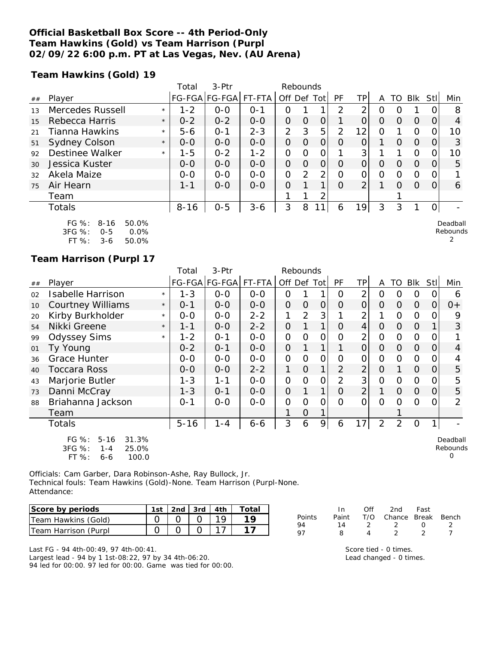### **Official Basketball Box Score -- 4th Period-Only Team Hawkins (Gold) vs Team Harrison (Purpl 02/09/22 6:00 p.m. PT at Las Vegas, Nev. (AU Arena)**

**Team Hawkins (Gold) 19**

|    |                        |         | Total    | $3-Ptr$       |         | Rebounds       |          |          |          |                 |          |          |            |          |                |
|----|------------------------|---------|----------|---------------|---------|----------------|----------|----------|----------|-----------------|----------|----------|------------|----------|----------------|
| ## | Player                 |         |          | FG-FGA FG-FGA | FT-FTA  | Off Def Tot    |          |          | PF       | TPI             | Α        | TO.      | <b>Blk</b> | Stl      | Min            |
| 13 | Mercedes Russell       | $\star$ | $1 - 2$  | $0 - 0$       | $O - 1$ | O              |          |          | 2        | 2               | O        | ∩        |            |          | 8              |
| 15 | Rebecca Harris         | $\star$ | $0 - 2$  | $0 - 2$       | $0 - 0$ | $\Omega$       | $\Omega$ | 0        |          | $\overline{O}$  | $\Omega$ | $\Omega$ | $\Omega$   | $\Omega$ | $\overline{4}$ |
| 21 | Tianna Hawkins         | $\star$ | $5 - 6$  | $O - 1$       | $2 - 3$ | $\overline{2}$ | 3        | 5        | 2        | 12              | 0        |          | $\Omega$   | $\Omega$ | 10             |
| 51 | Sydney Colson          | $\star$ | $0 - 0$  | $0 - 0$       | $0 - 0$ | $\Omega$       | $\Omega$ | $\Omega$ | $\Omega$ | $\Omega$        |          | $\Omega$ | $\Omega$   | $\Omega$ | 3              |
| 92 | Destinee Walker        | $\star$ | $1 - 5$  | $0 - 2$       | $1 - 2$ | $\Omega$       | $\Omega$ | 0        |          | 3               |          |          | $\Omega$   | $\Omega$ | 10             |
| 30 | Jessica Kuster         |         | $0 - 0$  | $0 - 0$       | $0 - 0$ | $\Omega$       | $\Omega$ | $\Omega$ | $\Omega$ | $\overline{O}$  | $\Omega$ | $\Omega$ | $\Omega$   | $\Omega$ | 5              |
| 32 | Akela Maize            |         | $0 - 0$  | $0 - 0$       | $0 - 0$ | 0              | 2        | 2        | $\Omega$ | $\Omega$        | 0        | ∩        | $\Omega$   | $\Omega$ |                |
| 75 | Air Hearn              |         | $1 - 1$  | $0 - 0$       | $0 - 0$ | $\Omega$       |          | 1        | $\Omega$ | 2               |          | $\Omega$ | $\Omega$   | $\Omega$ | 6              |
|    | Team                   |         |          |               |         |                |          | 2        |          |                 |          |          |            |          |                |
|    | Totals                 |         | $8 - 16$ | $0 - 5$       | $3 - 6$ | 3              | 8        |          | 6        | 19 <sub>1</sub> | 3        | 3        |            |          |                |
|    | FG $\%: 8-16$<br>50.0% |         |          |               |         |                |          |          |          |                 |          |          |            |          | Deadball       |

|           |         | JU.U 70 |
|-----------|---------|---------|
| 3FG %:    | $0 - 5$ | $0.0\%$ |
| FT $\%$ : | 3-6     | 50.0%   |

### **Team Harrison (Purpl 17**

|    |                                                                                       |         | Total    | $3-$ Ptr      |         |                | Rebounds       |               |                |                |                |                |                |      |                           |
|----|---------------------------------------------------------------------------------------|---------|----------|---------------|---------|----------------|----------------|---------------|----------------|----------------|----------------|----------------|----------------|------|---------------------------|
| ## | Player                                                                                |         |          | FG-FGA FG-FGA | FT-FTA  | Off Def Tot    |                |               | <b>PF</b>      | TPI            | A              | TO             | <b>Blk</b>     | StII | Min                       |
| 02 | Isabelle Harrison                                                                     | $\star$ | $1 - 3$  | $0 - 0$       | $0 - 0$ | 0              |                | 1             | 0              | $\overline{2}$ | 0              | O              | O              | 0    | 6                         |
| 10 | <b>Courtney Williams</b>                                                              | $\star$ | $0 - 1$  | $0-0$         | $0-0$   | $\overline{O}$ | $\overline{O}$ | 0             | $\Omega$       | $\overline{O}$ | $\Omega$       | 0              | $\overline{O}$ | 0    | $0+$                      |
| 20 | Kirby Burkholder                                                                      | $\star$ | $0 - 0$  | $0-0$         | $2 - 2$ | 1              | $\overline{2}$ | 3             |                | 2              |                | $\Omega$       | $\Omega$       | 0    | 9                         |
| 54 | Nikki Greene                                                                          | $\star$ | 1-1      | $0-0$         | $2 - 2$ | $\overline{O}$ |                | 1             | $\Omega$       | 4              | $\Omega$       | $\Omega$       | $\Omega$       |      | 3                         |
| 99 | <b>Odyssey Sims</b>                                                                   | $\star$ | 1-2      | $0 - 1$       | $0-0$   | $\overline{O}$ | $\Omega$       | 0             | O              | $\overline{2}$ | $\overline{O}$ | 0              | $\Omega$       | 0    |                           |
| 01 | Ty Young                                                                              |         | $0 - 2$  | $0 - 1$       | $0-0$   | $\overline{O}$ |                | 1             |                | $\overline{O}$ | $\Omega$       | 0              | $\overline{O}$ | 0    | 4                         |
| 36 | <b>Grace Hunter</b>                                                                   |         | $0-0$    | $0 - 0$       | $O-O$   | $\Omega$       | $\overline{O}$ | $\mathcal{O}$ | O              | 0              | $\Omega$       | $\Omega$       | $\Omega$       | 0    |                           |
| 40 | Toccara Ross                                                                          |         | $0-0$    | $0-0$         | $2 - 2$ | 1              | $\overline{O}$ | 1             | $\overline{2}$ | $\overline{2}$ | $\Omega$       |                | $\Omega$       | 0    | 5                         |
| 43 | Marjorie Butler                                                                       |         | $1 - 3$  | $1 - 1$       | $0 - 0$ | $\Omega$       | $\overline{O}$ | 0             | $\overline{2}$ | 3              | $\overline{O}$ | $\Omega$       | $\Omega$       | 0    | 5                         |
| 73 | Danni McCray                                                                          |         | $1 - 3$  | $0 - 1$       | $0-0$   | $\overline{O}$ |                | 1             | $\overline{0}$ | $\overline{2}$ | $\mathbf{1}$   | 0              | $\overline{O}$ | 0    | 5                         |
| 88 | Briahanna Jackson                                                                     |         | $0 - 1$  | $0 - 0$       | $0 - 0$ | $\mathcal{O}$  | $\Omega$       | 0             | $\Omega$       | 0              | $\Omega$       | Ω              | $\circ$        | 0    | 2                         |
|    | Team                                                                                  |         |          |               |         |                | $\overline{O}$ |               |                |                |                |                |                |      |                           |
|    | Totals                                                                                |         | $5 - 16$ | $1 - 4$       | $6 - 6$ | 3              | 6              | 9             | 6              | 17             | 2              | $\overline{2}$ | $\mathbf 0$    | 1    |                           |
|    | FG %:<br>31.3%<br>$5 - 16$<br>3FG %:<br>25.0%<br>$1 - 4$<br>FT %:<br>100.0<br>$6 - 6$ |         |          |               |         |                |                |               |                |                |                |                |                |      | Deadball<br>Rebounds<br>Ω |

Officials: Cam Garber, Dara Robinson-Ashe, Ray Bullock, Jr. Technical fouls: Team Hawkins (Gold)-None. Team Harrison (Purpl-None. Attendance:

| Score by periods     |  |  | 1st 2nd 3rd 4th Total |
|----------------------|--|--|-----------------------|
| Team Hawkins (Gold)  |  |  |                       |
| Team Harrison (Purpl |  |  |                       |

Last FG - 94 4th-00:49, 97 4th-00:41. Largest lead - 94 by 1 1st-08:22, 97 by 34 4th-06:20. 94 led for 00:00. 97 led for 00:00. Game was tied for 00:00.

|        | - In | Off           | 2nd                          | Fast             |  |
|--------|------|---------------|------------------------------|------------------|--|
| Points |      |               | Paint T/O Chance Break Bench |                  |  |
| 94     | 14   | $\mathcal{L}$ | - 2                          | $\left( \right)$ |  |
| 97     | 8    |               |                              |                  |  |

Score tied - 0 times. Lead changed - 0 times. Rebounds 2